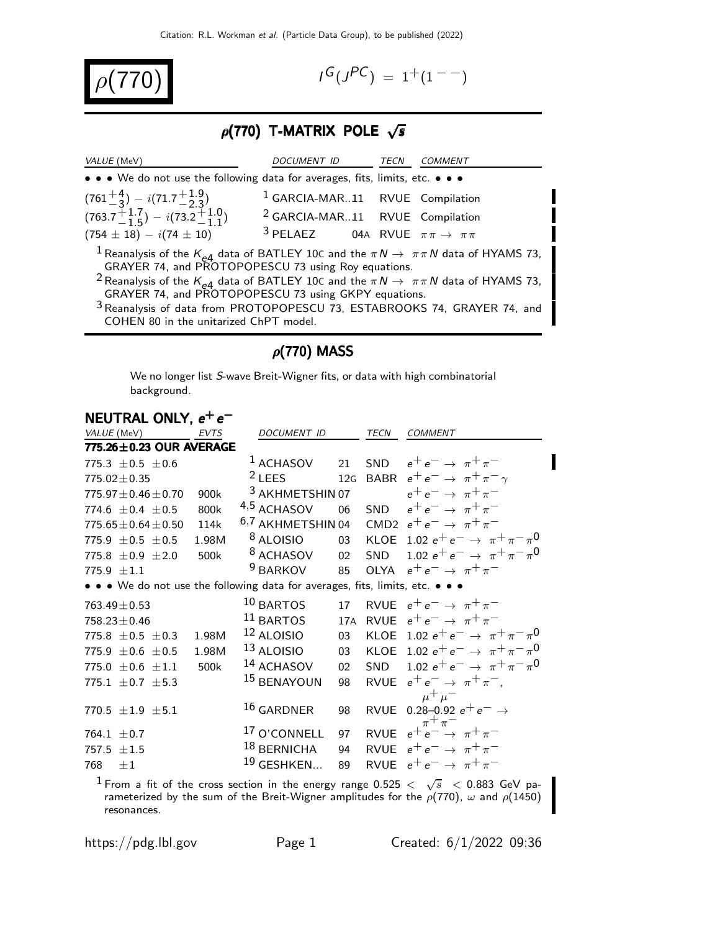$$
\boxed{\rho(770)}\qquad \qquad \blacksquare
$$

$$
I^G(J^{PC}) = 1^+(1^{--})
$$

Ι

# $\rho$ (770) T-MATRIX POLE  $\sqrt{s}$

| <i>VALUE</i> (MeV)                                                                                                                                                                                                                                                                                                                          | DOCUMENT ID                                                | TECN | <i>COMMENT</i> |
|---------------------------------------------------------------------------------------------------------------------------------------------------------------------------------------------------------------------------------------------------------------------------------------------------------------------------------------------|------------------------------------------------------------|------|----------------|
| • • • We do not use the following data for averages, fits, limits, etc. • • •                                                                                                                                                                                                                                                               |                                                            |      |                |
| $(761^{+4}_{-3}) - i(71.7^{+1.9}_{-2.3})$                                                                                                                                                                                                                                                                                                   | <sup>1</sup> GARCIA-MAR11 RVUE Compilation                 |      |                |
| $(763.7^{+1.7}_{-1.5}) - i(73.2^{+1.0}_{-1.1})$                                                                                                                                                                                                                                                                                             | <sup>2</sup> GARCIA-MAR11 RVUE Compilation                 |      |                |
| $(754 \pm 18) - i(74 \pm 10)$                                                                                                                                                                                                                                                                                                               | <sup>3</sup> PELAEZ 04A RVUE $\pi \pi \rightarrow \pi \pi$ |      |                |
| <sup>1</sup> Reanalysis of the $K_{\rho 4}$ data of BATLEY 10C and the $\pi N \to \pi \pi N$ data of HYAMS 73,<br>GRAYER 74, and PROTOPOPESCU 73 using Roy equations.<br><sup>2</sup> Reanalysis of the $K_{e4}$ data of BATLEY 10C and the $\pi N \to \pi \pi N$ data of HYAMS 73,<br>GRAYER 74, and PROTOPOPESCU 73 using GKPY equations. |                                                            |      |                |
| <sup>3</sup> Reanalysis of data from PROTOPOPESCU 73, ESTABROOKS 74, GRAYER 74, and<br>COHEN 80 in the unitarized ChPT model.                                                                                                                                                                                                               |                                                            |      |                |

# $\rho(770)$  MASS

We no longer list S-wave Breit-Wigner fits, or data with high combinatorial background.

| NEUTRAL ONLY, $e^+e^-$                                                        |       |                              |                 |      |                                                                     |
|-------------------------------------------------------------------------------|-------|------------------------------|-----------------|------|---------------------------------------------------------------------|
| VALUE (MeV)                                                                   | EVTS  | DOCUMENT ID                  |                 | TECN | <b>COMMENT</b>                                                      |
| 775.26±0.23 OUR AVERAGE                                                       |       |                              |                 |      |                                                                     |
| 775.3 $\pm$ 0.5 $\pm$ 0.6                                                     |       | $1$ ACHASOV                  | 21              |      | SND $e^+e^- \rightarrow \pi^+\pi^-$                                 |
| $775.02 + 0.35$                                                               |       | $2$ LEES                     | 12G             |      | BABR $e^+e^- \rightarrow \pi^+\pi^-\gamma$                          |
| $775.97 \pm 0.46 \pm 0.70$                                                    | 900k  | <sup>3</sup> AKHMETSHIN 07   |                 |      | $e^+e^- \rightarrow \pi^+\pi^-$                                     |
| 774.6 $\pm$ 0.4 $\pm$ 0.5                                                     | 800k  | 4,5 ACHASOV                  | 06              |      | SND $e^+e^- \rightarrow \pi^+\pi^-$                                 |
| $775.65 \pm 0.64 \pm 0.50$                                                    | 114k  | <sup>6,7</sup> AKHMETSHIN 04 |                 |      | CMD2 $e^+e^- \rightarrow \pi^+\pi^-$                                |
| 775.9 $\pm$ 0.5 $\pm$ 0.5                                                     | 1.98M | <sup>8</sup> ALOISIO         |                 |      | 03 KLOE 1.02 $e^+e^- \rightarrow \pi^+\pi^-\pi^0$                   |
| 775.8 $\pm$ 0.9 $\pm$ 2.0                                                     | 500k  | <sup>8</sup> ACHASOV         |                 |      | 02 SND 1.02 $e^+e^- \rightarrow \pi^+\pi^-\pi^0$                    |
| 775.9 $\pm 1.1$                                                               |       | $9$ BARKOV                   |                 |      | 85 OLYA $e^+e^- \rightarrow \pi^+\pi^-$                             |
| • • • We do not use the following data for averages, fits, limits, etc. • • • |       |                              |                 |      |                                                                     |
| $763.49 \pm 0.53$                                                             |       | $10$ BARTOS                  | 17              |      | RVUE $e^+e^- \rightarrow \pi^+\pi^-$                                |
| $758.23 \pm 0.46$                                                             |       | $11$ BARTOS                  |                 |      | 17A RVUE $e^+e^- \rightarrow \pi^+\pi^-$                            |
| 775.8 $\pm$ 0.5 $\pm$ 0.3                                                     | 1.98M | $12$ ALOISIO                 | 03              |      | KLOE 1.02 $e^+e^- \rightarrow \pi^+\pi^-\pi^0$                      |
| 775.9 $\pm 0.6 \pm 0.5$                                                       | 1.98M | 13 ALOISIO                   | 03              |      | KLOE 1.02 $e^+e^- \rightarrow \pi^+\pi^-\pi^0$                      |
| 775.0 $\pm$ 0.6 $\pm$ 1.1                                                     | 500k  | 14 ACHASOV                   | 02 <sub>2</sub> |      | SND 1.02 $e^+e^- \rightarrow \pi^+\pi^-\pi^0$                       |
| 775.1 $\pm$ 0.7 $\pm$ 5.3                                                     |       | 15 BENAYOUN                  | 98              |      | RVUE $e^+e^- \rightarrow \pi^+\pi^-$ .                              |
|                                                                               |       |                              |                 |      | $\mu^+ \mu^-$                                                       |
| 770.5 $\pm 1.9$ $\pm 5.1$                                                     |       | $16$ GARDNER                 | 98              |      | RVUE 0.28-0.92 $e^+e^- \rightarrow$                                 |
| 764.1 $\pm$ 0.7                                                               |       | <sup>17</sup> O'CONNELL      | 97              |      | $\pi^+\pi^-$<br>RVUE $e^{\mu}e^{-\mu}$ $\rightarrow \pi^{+}\pi^{-}$ |
| 757.5 $\pm 1.5$                                                               |       | 18 BERNICHA                  | 94              |      | RVUE $e^+e^- \rightarrow \pi^+\pi^-$                                |
| $\pm 1$<br>768                                                                |       | $19$ GESHKEN                 | 89              |      | RVUE $e^+e^- \rightarrow \pi^+\pi^-$                                |
|                                                                               |       |                              |                 |      |                                                                     |

 $^1$  From a fit of the cross section in the energy range 0.525  $<$   $\sqrt{s}$   $<$  0.883 GeV parameterized by the sum of the Breit-Wigner amplitudes for the  $\rho(770)$ ,  $\omega$  and  $\rho(1450)$ resonances.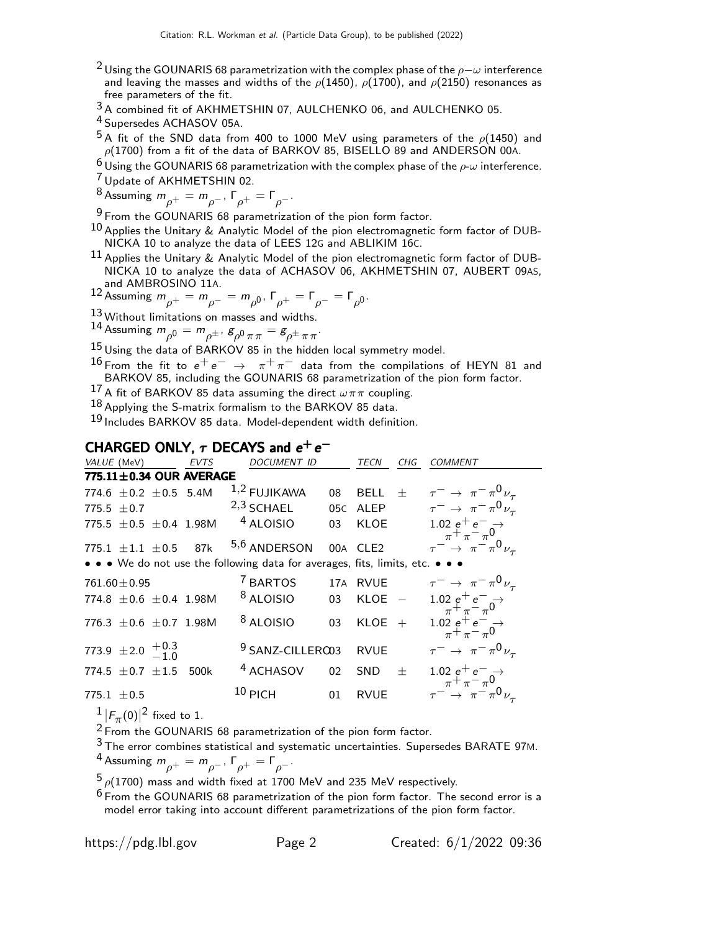- <sup>2</sup> Using the GOUNARIS 68 parametrization with the complex phase of the  $\rho-\omega$  interference and leaving the masses and widths of the  $\rho$ (1450),  $\rho$ (1700), and  $\rho$ (2150) resonances as free parameters of the fit.
- 3 A combined fit of AKHMETSHIN 07, AULCHENKO 06, and AULCHENKO 05.
- 4 Supersedes ACHASOV 05A.
- $^5$ A fit of the SND data from 400 to 1000 MeV using parameters of the  $\rho(1450)$  and  $\rho(1700)$  from a fit of the data of BARKOV 85, BISELLO 89 and ANDERSON 00A.
- $6 \overline{\text{Using the GOUNARIS 68 parameterization with the complex phase of the } \rho \text{-} \omega \text{ interference.}$
- 7 Update of AKHMETSHIN 02.
- <sup>8</sup> Assuming  $m_{\rho^+} = m_{\rho^-}$ , Γ<sub>ρ</sub>+ = Γ<sub>ρ</sub>-.

<sup>9</sup> From the GOUNARIS 68 parametrization of the pion form factor.

- $^{10}$  Applies the Unitary & Analytic Model of the pion electromagnetic form factor of DUB-NICKA 10 to analyze the data of LEES 12G and ABLIKIM 16C.
- $^{11}$  Applies the Unitary & Analytic Model of the pion electromagnetic form factor of DUB-NICKA 10 to analyze the data of ACHASOV 06, AKHMETSHIN 07, AUBERT 09AS,

and AMBROSINO 11A.<br>12 Assuming  $m_{\rho^+} = m_{\rho^-} = m_{\rho^0}$ ,  $\Gamma_{\rho^+} = \Gamma_{\rho^-} = \Gamma_{\rho^0}$ .

- 13 Without limitations on masses and widths.
- 14 Assuming  $m_{\rho^0} = m_{\rho^\pm}$ ,  $g_{\rho^0 \pi \pi} = g_{\rho^\pm \pi \pi}$ .
- 15 Using the data of BARKOV 85 in the hidden local symmetry model.
- <sup>16</sup> From the fit to  $e^+e^-$  →  $\pi^+\pi^-$  data from the compilations of HEYN 81 and BARKOV 85, including the GOUNARIS 68 parametrization of the pion form factor.
- 17 A fit of BARKOV 85 data assuming the direct  $\omega \pi \pi$  coupling.
- $18$  Applying the S-matrix formalism to the BARKOV 85 data.

19 Includes BARKOV 85 data. Model-dependent width definition.

## CHARGED ONLY,  $\tau$  DECAYS and  $e^+e^-$

| VALUE (MeV)                                                                   | EVTS | DOCUMENT ID                 |                 | TECN        | CHG    | <b>COMMENT</b>                                                                 |
|-------------------------------------------------------------------------------|------|-----------------------------|-----------------|-------------|--------|--------------------------------------------------------------------------------|
| 775.11±0.34 OUR AVERAGE                                                       |      |                             |                 |             |        |                                                                                |
| 774.6 $\pm$ 0.2 $\pm$ 0.5 5.4M                                                |      | $1,2$ FUJIKAWA              | 08              | <b>BELL</b> | $^{+}$ | $\tau^ \rightarrow \pi^- \pi^0 \nu_\tau$                                       |
| 775.5 $\pm$ 0.7                                                               |      | $2,3$ SCHAEL                |                 | 05C ALEP    |        | $\tau^ \rightarrow \pi^- \pi^0 \nu_\tau$                                       |
| 775.5 $\pm$ 0.5 $\pm$ 0.4 1.98M                                               |      | <sup>4</sup> ALOISIO        | 03              | KLOE        |        | 1.02 $e^+e^- \rightarrow$<br>$\frac{1}{\pi} + \frac{1}{\pi} - \frac{1}{\pi}$ 0 |
| 775.1 $\pm 1.1$ $\pm 0.5$ 87k                                                 |      | 5,6 ANDERSON                |                 | 00A CLE2    |        | $\tau^{-} \rightarrow \pi^{-} \pi^{0} \nu_{\tau}$                              |
| • • • We do not use the following data for averages, fits, limits, etc. • • • |      |                             |                 |             |        |                                                                                |
| $761.60 \pm 0.95$                                                             |      | <sup>7</sup> BARTOS         |                 | 17A RVUE    |        | $\tau^ \rightarrow \pi^- \pi^0 \nu_\tau$                                       |
| 774.8 $\pm$ 0.6 $\pm$ 0.4 1.98M                                               |      | <sup>8</sup> ALOISIO        | 03              | $KLOE$ -    |        | 1.02 $e^+e^-$<br>$\pi^+ \pi^- \pi^0$                                           |
| 776.3 $\pm$ 0.6 $\pm$ 0.7 1.98M                                               |      | <sup>8</sup> ALOISIO        | 03              | $KLOE +$    |        | 1.02 $e^+e^-$<br>$\pi^+ \pi^- \pi^0$                                           |
| 773.9 ± 2.0 $^{+0.3}_{-1.0}$                                                  |      | <sup>9</sup> SANZ-CILLERO03 |                 | <b>RVUE</b> |        | $\tau^ \rightarrow \pi^- \pi^0 \nu_\tau$                                       |
| 774.5 $\pm$ 0.7 $\pm$ 1.5                                                     | 500k | <sup>4</sup> ACHASOV        | 02 <sup>°</sup> | <b>SND</b>  | $^{+}$ | 1.02 $e^+e^ \rightarrow$ $\rightarrow \pi^+ \pi^- \pi^0$                       |
| 775.1 $\pm$ 0.5                                                               |      | $10$ PICH                   | 01              | <b>RVUE</b> |        | $\tau^{-} \rightarrow \pi^{-} \pi^{0} \nu_{\tau}$                              |

 $\frac{1}{2}$   $|F_{\pi}(0)|^2$  fixed to 1.

 $2 \text{ F} \pi^{(0)}$  Tixed to 1.<br><sup>2</sup> From the GOUNARIS 68 parametrization of the pion form factor.

 $3$  The error combines statistical and systematic uncertainties. Supersedes BARATE 97M. <sup>4</sup> Assuming  $m_{\rho^+} = m_{\rho^-}$ ,  $\Gamma_{\rho^+} = \Gamma_{\rho^-}$ .

 $5\rho(1700)$  mass and width fixed at 1700 MeV and 235 MeV respectively.

 $6$  From the GOUNARIS 68 parametrization of the pion form factor. The second error is a model error taking into account different parametrizations of the pion form factor.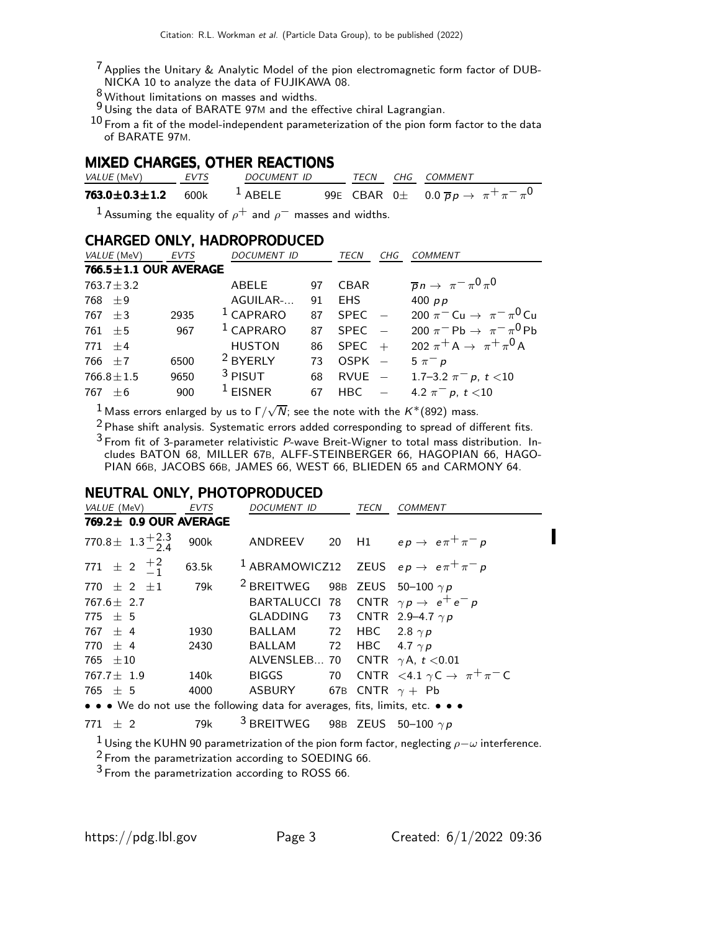- $^7$  Applies the Unitary & Analytic Model of the pion electromagnetic form factor of DUB-NICKA 10 to analyze the data of FUJIKAWA 08.
- $\frac{8}{9}$  Without limitations on masses and widths.
- $9$  Using the data of BARATE 97M and the effective chiral Lagrangian.

 $^{10}$  From a fit of the model-independent parameterization of the pion form factor to the data of BARATE 97M.

#### MIXED CHARGES, OTHER REACTIONS

| <i>VALUE</i> (MeV)                                | EVTS | <i>DOCUMENT ID</i> |  | TECN CHG COMMENT                                                 |
|---------------------------------------------------|------|--------------------|--|------------------------------------------------------------------|
| 763.0 $\pm$ 0.3 $\pm$ 1.2 600k <sup>1</sup> ABELE |      |                    |  | 99E CBAR 0 $\pm$ 0.0 $\overline{p}p \rightarrow \pi^+\pi^-\pi^0$ |

<sup>1</sup> Assuming the equality of  $\rho^+$  and  $\rho^-$  masses and widths.

#### CHARGED ONLY, HADROPRODUCED

| VALUE (MeV)           | <b>EVTS</b> | DOCUMENT ID         |    | TECN        | CHG | <b>COMMENT</b>                            |
|-----------------------|-------------|---------------------|----|-------------|-----|-------------------------------------------|
| 766.5±1.1 OUR AVERAGE |             |                     |    |             |     |                                           |
| $763.7 \pm 3.2$       |             | ABELE               | 97 | <b>CBAR</b> |     | $\overline{p}n \to \pi^- \pi^0 \pi^0$     |
| $768 + 9$             |             | AGUILAR-            | 91 | EHS.        |     | 400 $pp$                                  |
| $767 + 3$             | 2935        | $1$ CAPRARO         | 87 | <b>SPEC</b> |     | 200 $\pi^{-}$ Cu $\to \pi^{-} \pi^{0}$ Cu |
| $761 + 5$             | 967         | $1$ CAPRARO         | 87 | <b>SPFC</b> |     | 200 $\pi^-$ Pb $\to \pi^- \pi^0$ Pb       |
| $771 + 4$             |             | <b>HUSTON</b>       | 86 | <b>SPEC</b> | $+$ | 202 $\pi^{+}$ A $\to \pi^{+} \pi^{0}$ A   |
| $766 + 7$             | 6500        | <sup>2</sup> BYERLY | 73 | $OSPK -$    |     | $5 \pi^- p$                               |
| $766.8 \pm 1.5$       | 9650        | $3$ PISUT           | 68 | $RVUE -$    |     | 1.7–3.2 $\pi^- p$ , $t < 10$              |
| $767 + 6$             | 900         | $1$ EISNER          | 67 | HBC         |     | 4.2 $\pi^-$ p, t <10                      |
|                       |             |                     |    |             |     |                                           |

 $^1$  Mass errors enlarged by us to Г $/\sqrt{N}$ ; see the note with the  $K^*(892)$  mass.

<sup>2</sup> Phase shift analysis. Systematic errors added corresponding to spread of different fits.

 $3$  From fit of 3-parameter relativistic P-wave Breit-Wigner to total mass distribution. Includes BATON 68, MILLER 67B, ALFF-STEINBERGER 66, HAGOPIAN 66, HAGO-PIAN 66B, JACOBS 66B, JAMES 66, WEST 66, BLIEDEN 65 and CARMONY 64.

## NEUTRAL ONLY, PHOTOPRODUCED

| VALUE (MeV)                                                                   | <b>EVTS</b> | <i>DOCUMENT ID</i>                               | TECN | <b>COMMENT</b>                                                  |
|-------------------------------------------------------------------------------|-------------|--------------------------------------------------|------|-----------------------------------------------------------------|
| 769.2± 0.9 OUR AVERAGE                                                        |             |                                                  |      |                                                                 |
| 770.8 $\pm$ 1.3 $^{+2.3}_{-2.4}$                                              | 900k        |                                                  |      | ANDREEV 20 H1 $ep \rightarrow e \pi^+ \pi^- p$                  |
| 771 $\pm$ 2 $\frac{+2}{-1}$ 63.5k                                             |             |                                                  |      | <sup>1</sup> ABRAMOWICZ12 ZEUS $ep \rightarrow e \pi^+ \pi^- p$ |
| $770 \pm 2 \pm 1$ 79k                                                         |             | <sup>2</sup> BREITWEG 98B ZEUS 50-100 $\gamma p$ |      |                                                                 |
| $767.6 \pm 2.7$                                                               |             |                                                  |      | BARTALUCCI 78 CNTR $\gamma p \rightarrow e^+ e^- p$             |
| $775 + 5$                                                                     |             | GLADDING 73 CNTR 2.9-4.7 $\gamma p$              |      |                                                                 |
| $767 + 4$                                                                     | 1930        | BALLAM 72 HBC 2.8 $\gamma p$                     |      |                                                                 |
| $770 + 4$                                                                     | 2430        | BALLAM 72 HBC 4.7 $\gamma p$                     |      |                                                                 |
| 765 $\pm 10$                                                                  |             | ALVENSLEB 70 CNTR $\gamma$ A, t < 0.01           |      |                                                                 |
| $767.7 \pm 1.9$                                                               | 140k        | <b>BIGGS</b>                                     |      | 70 CNTR <4.1 $\gamma$ C $\rightarrow \pi^+\pi^-$ C              |
| 765 $\pm$ 5                                                                   | 4000        | ASBURY 67B CNTR $\gamma$ + Pb                    |      |                                                                 |
| • • • We do not use the following data for averages, fits, limits, etc. • • • |             |                                                  |      |                                                                 |

771  $\pm$  2 79k <sup>3</sup> BREITWEG 98B ZEUS 50-100  $\gamma p$ 

<sup>1</sup> Using the KUHN 90 parametrization of the pion form factor, neglecting  $ρ-ω$  interference.

<sup>2</sup> From the parametrization according to SOEDING 66.

 $3$  From the parametrization according to ROSS 66.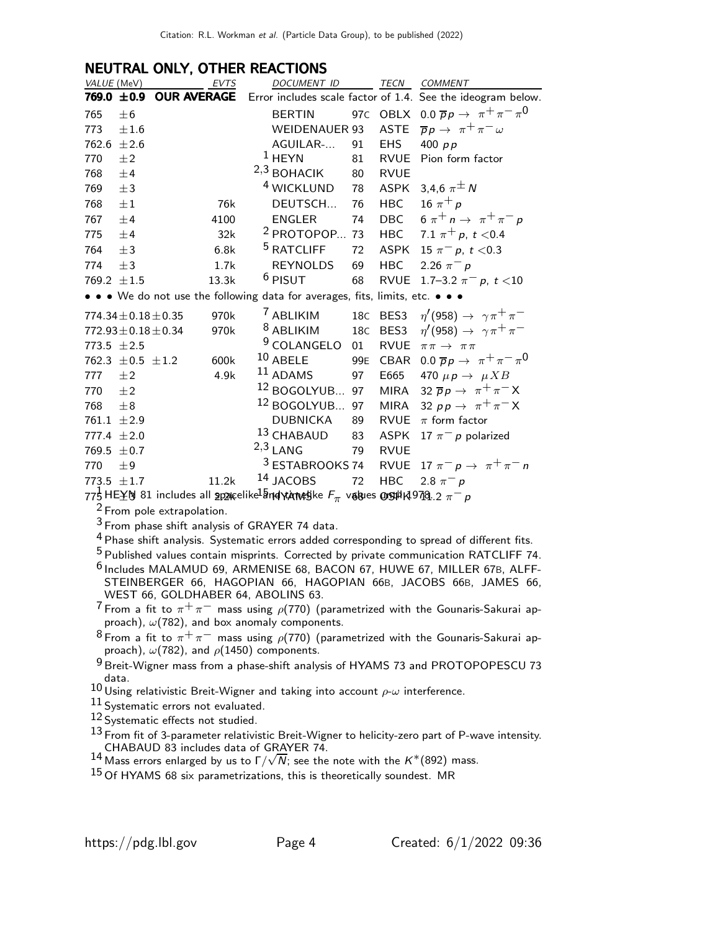## NEUTRAL ONLY, OTHER REACTIONS

|     | VALUE (MeV)                  |                             | EVTS  | <b>DOCUMENT ID</b>                                                                                                 |     | TECN        | <b>COMMENT</b>                                              |
|-----|------------------------------|-----------------------------|-------|--------------------------------------------------------------------------------------------------------------------|-----|-------------|-------------------------------------------------------------|
|     |                              | 769.0 $\pm$ 0.9 OUR AVERAGE |       |                                                                                                                    |     |             | Error includes scale factor of 1.4. See the ideogram below. |
| 765 | ±6                           |                             |       | <b>BERTIN</b>                                                                                                      |     |             | 97C OBLX 0.0 $\overline{p}p \rightarrow \pi^+\pi^-\pi^0$    |
| 773 | ±1.6                         |                             |       | WEIDENAUER 93                                                                                                      |     |             | ASTE $\overline{p}p \rightarrow \pi^+\pi^- \omega$          |
|     | 762.6 $\pm 2.6$              |                             |       | AGUILAR-                                                                                                           | 91  | EHS         | 400 $p p$                                                   |
| 770 | $\pm 2$                      |                             |       | $1$ HEYN                                                                                                           | 81  | RVUE        | Pion form factor                                            |
| 768 | ±4                           |                             |       | $2,3$ BOHACIK                                                                                                      | 80  | <b>RVUE</b> |                                                             |
| 769 | $\pm$ 3                      |                             |       | <sup>4</sup> WICKLUND                                                                                              | 78  | ASPK        | 3,4,6 $\pi^{\pm} N$                                         |
| 768 | $\pm 1$                      |                             | 76k   | DEUTSCH                                                                                                            | 76  | <b>HBC</b>  | 16 $\pi^{+} p$                                              |
| 767 | ±4                           |                             | 4100  | <b>ENGLER</b>                                                                                                      | 74  | <b>DBC</b>  | 6 $\pi^+ n \to \pi^+ \pi^- p$                               |
| 775 | ±4                           |                             | 32k   | <sup>2</sup> PROTOPOP 73                                                                                           |     | <b>HBC</b>  | 7.1 $\pi^+ p$ , $t < 0.4$                                   |
| 764 | $\pm 3$                      |                             | 6.8k  | <sup>5</sup> RATCLIFF                                                                                              | 72  | ASPK        | 15 $\pi^- p$ , t < 0.3                                      |
| 774 | $\pm$ 3                      |                             | 1.7k  | <b>REYNOLDS</b>                                                                                                    | 69  | <b>HBC</b>  | 2.26 $\pi^{-} p$                                            |
|     | 769.2 $\pm 1.5$              |                             | 13.3k | <sup>6</sup> PISUT                                                                                                 | 68  | <b>RVUE</b> | 1.7–3.2 $\pi^- p$ , $t < 10$                                |
|     |                              |                             |       | • • • We do not use the following data for averages, fits, limits, etc. • • •                                      |     |             |                                                             |
|     | 774.34 $\pm$ 0.18 $\pm$ 0.35 |                             | 970k  | <sup>7</sup> ABLIKIM                                                                                               |     | 18C BES3    | $\eta'(958) \rightarrow \gamma \pi^+ \pi^-$                 |
|     | $772.93 \pm 0.18 \pm 0.34$   |                             | 970k  | <sup>8</sup> ABLIKIM                                                                                               |     | 18C BES3    | $\eta'(958) \rightarrow \gamma \pi^+ \pi^-$                 |
|     | 773.5 $\pm 2.5$              |                             |       | $9$ COLANGELO                                                                                                      | 01  | RVUE        | $\pi\pi\to\pi\pi$                                           |
|     |                              | 762.3 $\pm$ 0.5 $\pm$ 1.2   | 600k  | $10$ ABELE                                                                                                         | 99E |             | CBAR 0.0 $\overline{p}p \rightarrow \pi^+\pi^-\pi^0$        |
| 777 | $\pm 2$                      |                             | 4.9k  | $11$ ADAMS                                                                                                         | 97  | E665        | 470 $\mu p \rightarrow \mu X B$                             |
| 770 | $\pm 2$                      |                             |       | <sup>12</sup> BOGOLYUB 97                                                                                          |     |             | MIRA 32 $\overline{p}p \rightarrow \pi^+\pi^- X$            |
| 768 | $\pm 8$                      |                             |       | <sup>12</sup> BOGOLYUB 97                                                                                          |     | MIRA        | 32 pp $\rightarrow \pi^+\pi^- X$                            |
|     | 761.1 $\pm 2.9$              |                             |       | DUBNICKA                                                                                                           | 89  |             | RVUE $\pi$ form factor                                      |
|     | 777.4 $\pm 2.0$              |                             |       | 13 CHABAUD                                                                                                         | 83  | <b>ASPK</b> | 17 $\pi^-$ p polarized                                      |
|     | 769.5 $\pm$ 0.7              |                             |       | $2,3$ LANG                                                                                                         | 79  | <b>RVUE</b> |                                                             |
| 770 | ±9                           |                             |       | <sup>3</sup> ESTABROOKS 74                                                                                         |     |             | RVUE 17 $\pi^ p \rightarrow \pi^+ \pi^-$ n                  |
|     | $773.5 + 1.7$                |                             | 11.2k | 14 JACOBS                                                                                                          | 72  | <b>HBC</b>  | 2.8 $\pi^{-} p$                                             |
|     |                              |                             |       | 775 HE $\pm$ N 81 includes all gpangelike $\frac{1}{2}$ nd vt/mund jke $F_{\pi}$ vagues on stip 10 10. 2 $\pi^-$ p |     |             |                                                             |
|     |                              |                             |       |                                                                                                                    |     |             |                                                             |

From pole extrapolation.

From phase shift analysis of GRAYER 74 data.

<sup>4</sup> Phase shift analysis. Systematic errors added corresponding to spread of different fits.

Published values contain misprints. Corrected by private communication RATCLIFF 74.

 Includes MALAMUD 69, ARMENISE 68, BACON 67, HUWE 67, MILLER 67B, ALFF-STEINBERGER 66, HAGOPIAN 66, HAGOPIAN 66B, JACOBS 66B, JAMES 66, WEST 66, GOLDHABER 64, ABOLINS 63.

 $^7$ From a fit to  $\pi^+\pi^-$  mass using  $\rho$ (770) (parametrized with the Gounaris-Sakurai approach),  $\omega(782)$ , and box anomaly components.

 $^8$ From a fit to  $\pi^+\pi^-$  mass using  $\rho$ (770) (parametrized with the Gounaris-Sakurai approach),  $\omega(782)$ , and  $\rho(1450)$  components.

9 Breit-Wigner mass from a phase-shift analysis of HYAMS 73 and PROTOPOPESCU 73 data.

Using relativistic Breit-Wigner and taking into account  $\rho$ - $\omega$  interference.

11 Systematic errors not evaluated.

12 Systematic effects not studied.

 From fit of 3-parameter relativistic Breit-Wigner to helicity-zero part of P-wave intensity. CHABAUD 83 includes data of GRAYER 74.<br><sup>14</sup> Mass errors enlarged by us to Γ/ $\sqrt{N}$ ; see the note with the K\*(892) mass.

Of HYAMS 68 six parametrizations, this is theoretically soundest. MR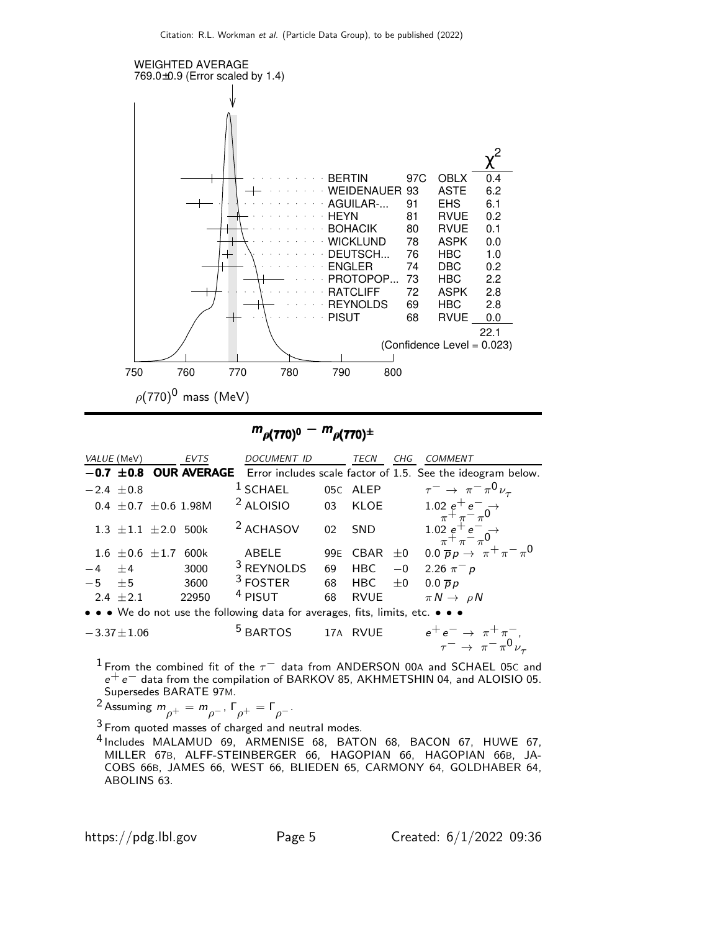

 $m_{\rho(770)^0} - m_{\rho(770)^{\pm}}$ 

|              | VALUE (MeV)                  | <b>EVTS</b>                   | DOCUMENT ID                                                                   |    | TECN             | CHG     | <b>COMMENT</b>                                                                         |
|--------------|------------------------------|-------------------------------|-------------------------------------------------------------------------------|----|------------------|---------|----------------------------------------------------------------------------------------|
|              |                              |                               |                                                                               |    |                  |         | $-0.7 \pm 0.8$ OUR AVERAGE Error includes scale factor of 1.5. See the ideogram below. |
|              | $-2.4 \pm 0.8$               |                               | $1$ SCHAEL                                                                    |    | 05C ALEP         |         | $\tau^ \rightarrow \pi^- \pi^0 \nu_\tau$                                               |
|              |                              | 0.4 $\pm$ 0.7 $\pm$ 0.6 1.98M | $2$ ALOISIO                                                                   | 03 | <b>KLOE</b>      |         | $\frac{1.02 \text{ } e^+ e^-}{\pi^+ \pi^- \pi^0}$                                      |
|              | 1.3 $\pm$ 1.1 $\pm$ 2.0 500k |                               | <sup>2</sup> ACHASOV                                                          | 02 | <b>SND</b>       |         | $\frac{1.02 \text{ e}^+ \text{ e}^-}{\pi^+ \pi^- \pi^0}$                               |
|              | $1.6 \pm 0.6 \pm 1.7$        | 600k                          | ABELE                                                                         |    | 99E CBAR $\pm 0$ |         | $0.0 \overline{p} p \rightarrow \pi + \pi - \pi$                                       |
| $-4 \pm 4$   |                              | 3000                          | <sup>3</sup> REYNOLDS                                                         | 69 | <b>HBC</b>       | $-0$    | 2.26 $\pi^{-} p$                                                                       |
| $-5$ $\pm 5$ |                              | 3600                          | <sup>3</sup> FOSTER                                                           | 68 | <b>HBC</b>       | $\pm 0$ | $0.0 \overline{p}p$                                                                    |
|              | 2.4 $\pm 2.1$                | 22950                         | $4$ PISUT                                                                     | 68 | <b>RVUE</b>      |         | $\pi N \rightarrow \rho N$                                                             |
|              |                              |                               | • • • We do not use the following data for averages, fits, limits, etc. • • • |    |                  |         |                                                                                        |

$$
-3.37 \pm 1.06
$$
 <sup>5</sup> BARTOS 17A RVUE  $e^+e^- \rightarrow \pi^+\pi^-,$   
 $\tau^- \rightarrow \pi^-\pi^0\nu_{\tau}$ 

<sup>1</sup> From the combined fit of the  $\tau^-$  data from ANDERSON 00A and SCHAEL 05C and  $e^+e^-$  data from the compilation of BARKOV 85, AKHMETSHIN 04, and ALOISIO 05. Supersedes BARATE 97M.

<sup>2</sup> Assuming  $m_{\rho^+} = m_{\rho^-}$ ,  $\Gamma_{\rho^+} = \Gamma_{\rho^-}$ .

 $3$  From quoted masses of charged and neutral modes.

4 Includes MALAMUD 69, ARMENISE 68, BATON 68, BACON 67, HUWE 67, MILLER 67B, ALFF-STEINBERGER 66, HAGOPIAN 66, HAGOPIAN 66B, JA-COBS 66B, JAMES 66, WEST 66, BLIEDEN 65, CARMONY 64, GOLDHABER 64, ABOLINS 63.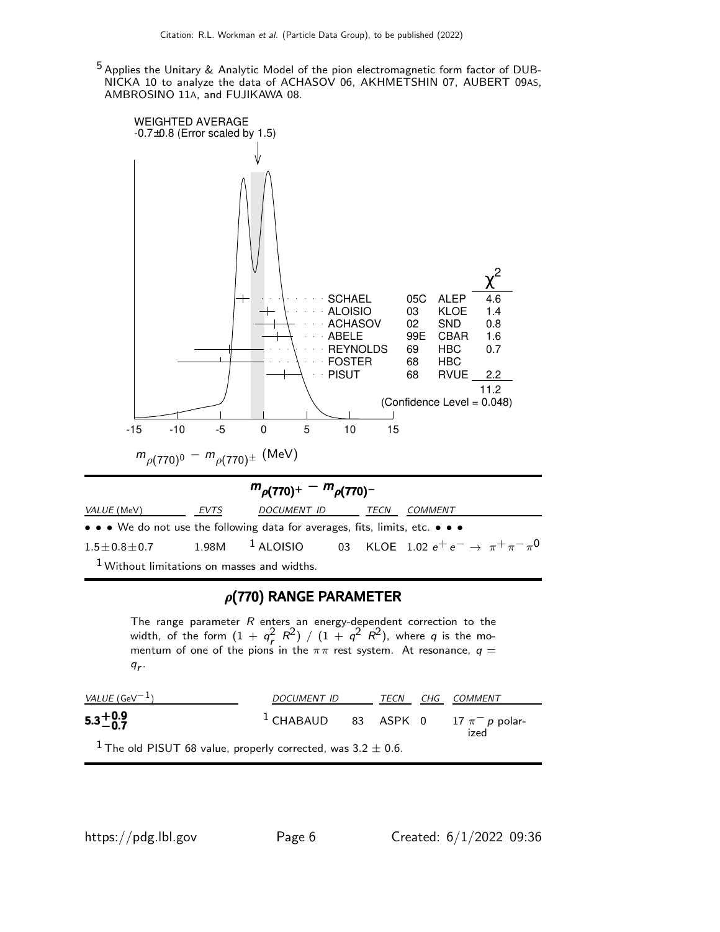5 Applies the Unitary & Analytic Model of the pion electromagnetic form factor of DUB-NICKA 10 to analyze the data of ACHASOV 06, AKHMETSHIN 07, AUBERT 09AS, AMBROSINO 11A, and FUJIKAWA 08.



## $\rho$ (770) RANGE PARAMETER

The range parameter  $R$  enters an energy-dependent correction to the width, of the form  $(1 + q_r^2 R^2) / (1 + q^2 R^2)$ , where q is the momentum of one of the pions in the  $\pi\pi$  rest system. At resonance,  $\bm{q}=$  $q_r$ .

| <i>VALUE</i> (GeV $^{-1}$ )                                                  | DOCUMENT ID                                        | TECN | CHG COMMENT |
|------------------------------------------------------------------------------|----------------------------------------------------|------|-------------|
| $5.3^{+0.9}_{-0.7}$                                                          | <sup>1</sup> CHABAUD 83 ASPK 0 17 $\pi^-$ p polar- |      | ized        |
| <sup>1</sup> The old PISUT 68 value, properly corrected, was $3.2 \pm 0.6$ . |                                                    |      |             |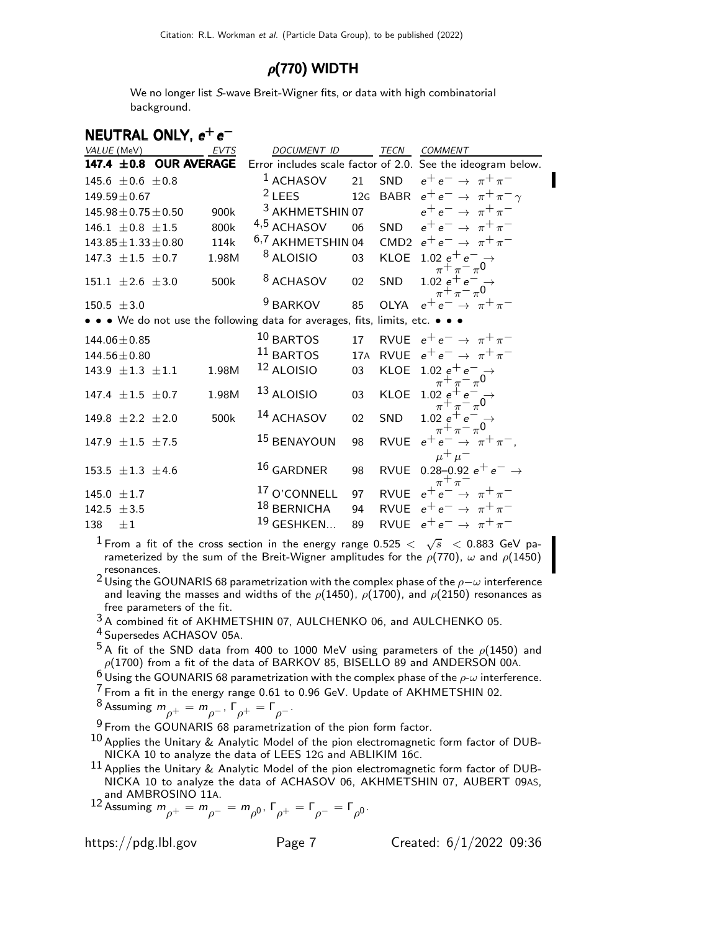## $\rho$ (770) WIDTH

We no longer list S-wave Breit-Wigner fits, or data with high combinatorial background.

| <b>DOCUMENT ID</b>             | TECN                                                                                         | <b>COMMENT</b>                                                                                                                                                                                                                                       |
|--------------------------------|----------------------------------------------------------------------------------------------|------------------------------------------------------------------------------------------------------------------------------------------------------------------------------------------------------------------------------------------------------|
|                                |                                                                                              |                                                                                                                                                                                                                                                      |
| $1$ ACHASOV                    |                                                                                              | $e^+e^- \rightarrow \pi^+\pi^-$                                                                                                                                                                                                                      |
|                                |                                                                                              | 12G BABR $e^+e^- \rightarrow \pi^+\pi^-\gamma$                                                                                                                                                                                                       |
|                                |                                                                                              | $e^+e^- \rightarrow \pi^+\pi^-$                                                                                                                                                                                                                      |
| 06                             |                                                                                              | SND $e^+e^- \rightarrow \pi^+\pi^-$                                                                                                                                                                                                                  |
|                                |                                                                                              |                                                                                                                                                                                                                                                      |
| 03                             |                                                                                              | KLOE 1.02 $e^+e^- \rightarrow$<br>$\pi$ + $\pi$ - $\pi$ <sup>0</sup>                                                                                                                                                                                 |
| <sup>8</sup> ACHASOV<br>02     | SND                                                                                          | $\begin{array}{c}\n1.02 \text{ } e^+ e^- \\ \pi^+ \pi^- \pi^0\n\end{array}$                                                                                                                                                                          |
| <sup>9</sup> BARKOV<br>85      |                                                                                              | OLYA $e^+e^- \rightarrow \pi^+\pi^-$                                                                                                                                                                                                                 |
|                                |                                                                                              |                                                                                                                                                                                                                                                      |
| $10$ BARTOS<br>17              |                                                                                              | RVUE $e^+e^- \rightarrow \pi^+\pi^-$                                                                                                                                                                                                                 |
|                                |                                                                                              | RVUE $e^+e^- \rightarrow \pi^+\pi^-$                                                                                                                                                                                                                 |
| 12 ALOISIO<br>03               |                                                                                              | KLOE $1.02 e^+ e^- \rightarrow \pi^+ \pi^- \pi^0$                                                                                                                                                                                                    |
| $13$ ALOISIO<br>0 <sub>3</sub> |                                                                                              | KLOE $1.02 e^+ e^- \rightarrow \pi^+ \pi^- \pi^0$                                                                                                                                                                                                    |
| 14 ACHASOV<br>02               | <b>SND</b>                                                                                   | 1.02 $e^+e^-$<br>$\pi^+ \pi^- \pi^0$                                                                                                                                                                                                                 |
| <sup>15</sup> BENAYOUN<br>98   |                                                                                              | RVUE $e^+e^- \rightarrow \pi^+\pi^-$ ,<br>$\mu^+ \mu^-$                                                                                                                                                                                              |
| $16$ GARDNER<br>98             |                                                                                              | RVUE 0.28-0.92 $e^+e^- \rightarrow$<br>$\pi^+$                                                                                                                                                                                                       |
| <sup>17</sup> O'CONNELL<br>97  |                                                                                              | $e^+e^- \rightarrow \pi^+\pi^-$                                                                                                                                                                                                                      |
| 18 BERNICHA<br>94              |                                                                                              | RVUE $e^+e^- \rightarrow \pi^+\pi^-$                                                                                                                                                                                                                 |
| <sup>19</sup> GESHKEN<br>89    |                                                                                              | RVUE $e^+e^- \rightarrow \pi^+\pi^-$                                                                                                                                                                                                                 |
| 1.98M<br>1.98M                 | $2$ LEES<br><sup>3</sup> AKHMETSHIN 07<br>4,5 ACHASOV<br><sup>8</sup> ALOISIO<br>$11$ BARTOS | Error includes scale factor of 2.0. See the ideogram below.<br>21<br>SND<br><sup>6,7</sup> AKHMETSHIN 04 CMD2 $e^+e^- \rightarrow \pi^+\pi^-$<br>• • • We do not use the following data for averages, fits, limits, etc. • • •<br>17A<br><b>RVUE</b> |

 $^{\text{1}}$  From a fit of the cross section in the energy range 0.525  $<$   $\sqrt{s}$   $<$  0.883 GeV parameterized by the sum of the Breit-Wigner amplitudes for the  $\rho(770)$ ,  $\omega$  and  $\rho(1450)$ resonances.

2 Using the GOUNARIS 68 parametrization with the complex phase of the  $\rho-\omega$  interference and leaving the masses and widths of the  $\rho$ (1450),  $\rho$ (1700), and  $\rho$ (2150) resonances as free parameters of the fit.

3 A combined fit of AKHMETSHIN 07, AULCHENKO 06, and AULCHENKO 05.

4 Supersedes ACHASOV 05A.

 $^5$ A fit of the SND data from 400 to 1000 MeV using parameters of the  $\rho(1450)$  and  $\rho(1700)$  from a fit of the data of BARKOV 85, BISELLO 89 and ANDERSON 00A.

 $6$  Using the GOUNARIS 68 parametrization with the complex phase of the  $\rho$ - $\omega$  interference.

7 From a fit in the energy range 0.61 to 0.96 GeV. Update of AKHMETSHIN 02.

<sup>8</sup> Assuming  $m_{\rho^+} = m_{\rho^-}$ ,  $\Gamma_{\rho^+} = \Gamma_{\rho^-}$ .

 $9$  From the GOUNARIS 68 parametrization of the pion form factor.

 $^{10}$  Applies the Unitary & Analytic Model of the pion electromagnetic form factor of DUB-NICKA 10 to analyze the data of LEES 12G and ABLIKIM 16C.

 $11$  Applies the Unitary & Analytic Model of the pion electromagnetic form factor of DUB-NICKA 10 to analyze the data of ACHASOV 06, AKHMETSHIN 07, AUBERT 09AS, and AMBROSINO 11A.

12 Assuming  $m_{\rho^+} = m_{\rho^-} = m_{\rho^0}$ , Γ<sub>ρ+</sub> = Γ<sub>ρ</sub>- = Γ<sub>ρ</sub><sub>0</sub>.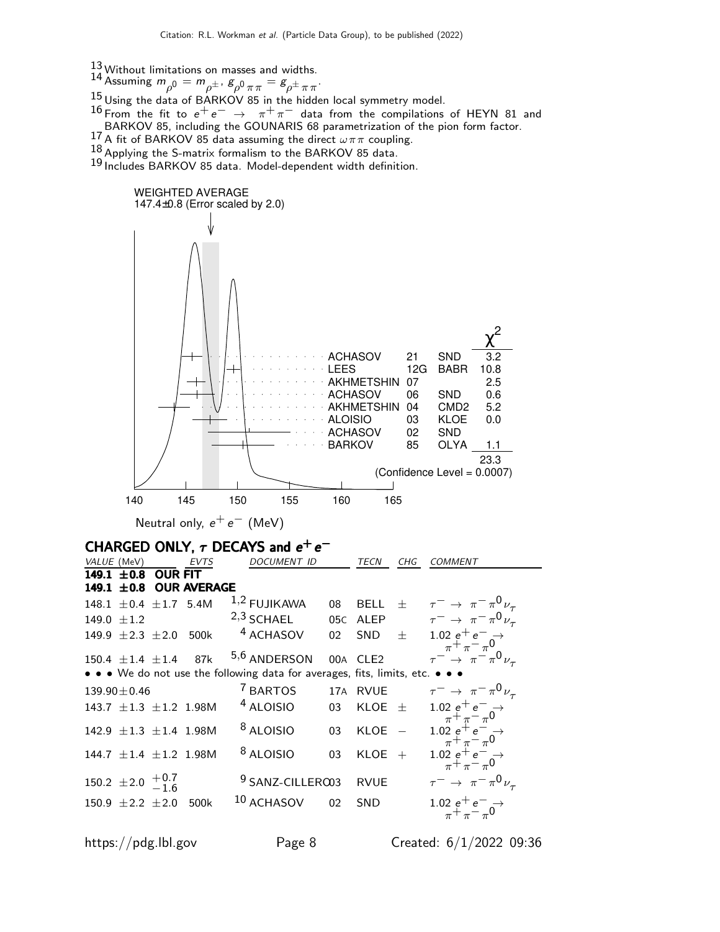- 
- 13 Without limitations on masses and widths.<br>14 Assuming  $m_{\rho^0} = m_{\rho^{\pm}}$ ,  $g_{\rho^0 \pi \pi} = g_{\rho^{\pm} \pi \pi}$ .

15 Using the data of BARKOV 85 in the hidden local symmetry model.

16 From the fit to  $e^+e^- \rightarrow \pi^+\pi^-$  data from the compilations of HEYN 81 and BARKOV 85, including the GOUNARIS 68 parametrization of the pion form factor.<br><sup>17</sup> A fit of BARKOV 85 data assuming the direct  $\omega \pi \pi$  coupling.

18 Applying the S-matrix formalism to the BARKOV 85 data.

19 Includes BARKOV 85 data. Model-dependent width definition.



https://pdg.lbl.gov Page 8 Created: 6/1/2022 09:36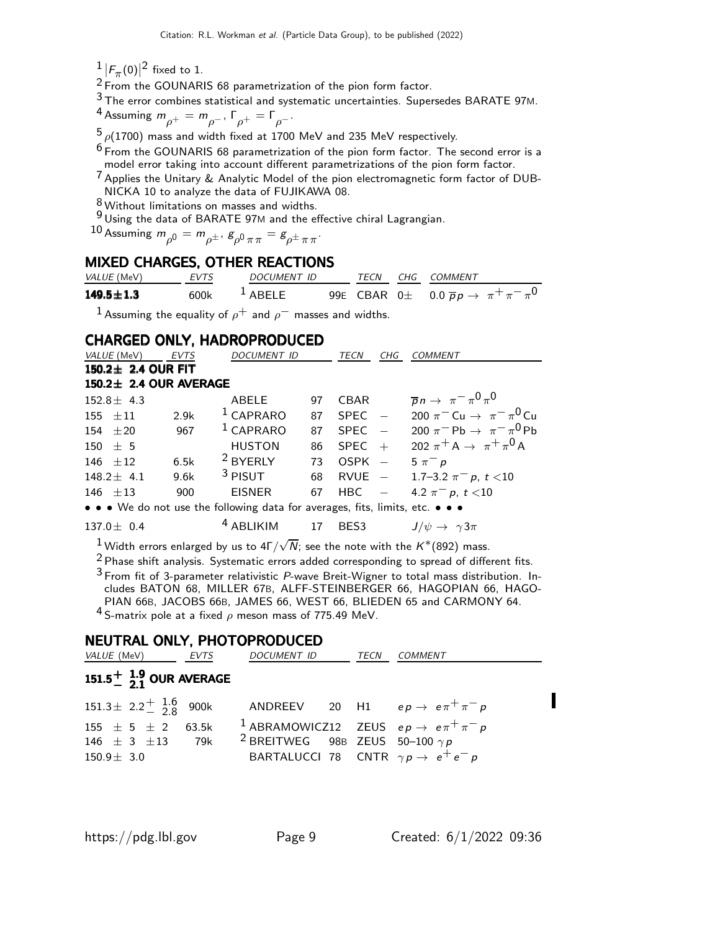$\frac{1}{2}$   $|F_{\pi}(0)|^2$  fixed to 1.

 $\frac{2}{7}$  From the GOUNARIS 68 parametrization of the pion form factor.

3 The error combines statistical and systematic uncertainties. Supersedes BARATE 97M.

<sup>4</sup> Assuming  $m_{\rho^+} = m_{\rho^-}$ ,  $\Gamma_{\rho^+} = \Gamma_{\rho^-}$ .

 $5\rho(1700)$  mass and width fixed at 1700 MeV and 235 MeV respectively.

 $^6$  From the GOUNARIS 68 parametrization of the pion form factor. The second error is a model error taking into account different parametrizations of the pion form factor.

 $\frac{7}{1}$  Applies the Unitary & Analytic Model of the pion electromagnetic form factor of DUB-NICKA 10 to analyze the data of FUJIKAWA 08.

8 Without limitations on masses and widths.

9 Using the data of BARATE 97M and the effective chiral Lagrangian.

10 Assuming  $m_{\rho^0} = m_{\rho^\pm}$ ,  $g_{\rho^0\,\pi\,\pi} = g_{\rho^\pm\,\pi\,\pi}$ .

## MIXED CHARGES, OTHER REACTIONS

| <i>VALUE</i> (MeV) | EVTS | DOCUMENT ID |  | TECN CHG COMMENT                                                 |
|--------------------|------|-------------|--|------------------------------------------------------------------|
| $149.5 \pm 1.3$    | 600k | $1$ ABELE   |  | 99E CBAR 0 $\pm$ 0.0 $\overline{p}p \rightarrow \pi^+\pi^-\pi^0$ |
|                    |      |             |  |                                                                  |

<sup>1</sup> Assuming the equality of  $\rho^+$  and  $\rho^-$  masses and widths.

## CHARGED ONLY, HADROPRODUCED

| VALUE (MeV)            | <b>EVTS</b> | <b>DOCUMENT ID</b>                                                            |    | <b>TECN</b> | CHG | <b>COMMENT</b>                                                                 |
|------------------------|-------------|-------------------------------------------------------------------------------|----|-------------|-----|--------------------------------------------------------------------------------|
| 150.2± 2.4 OUR FIT     |             |                                                                               |    |             |     |                                                                                |
| 150.2± 2.4 OUR AVERAGE |             |                                                                               |    |             |     |                                                                                |
| $152.8 \pm 4.3$        |             | ABELE                                                                         | 97 | CBAR        |     | $\overline{p}n \to \pi^- \pi^0 \pi^0$                                          |
| $155 \pm 11$           | 2.9k        | $1$ CAPRARO                                                                   | 87 | $SPEC -$    |     | 200 $\pi^{-}$ Cu $\to \pi^{-} \pi^{0}$ Cu                                      |
| $154 + 20$             | 967         | $1$ CAPRARO                                                                   | 87 | $SPEC -$    |     | 200 $\pi$ <sup>-</sup> Pb $\rightarrow \pi$ <sup>-</sup> $\pi$ <sup>0</sup> Pb |
| $150 \pm 5$            |             | <b>HUSTON</b>                                                                 | 86 | $SPEC +$    |     | 202 $\pi^{+} A \rightarrow \pi^{+} \pi^{0} A$                                  |
| 146 $\pm 12$           | 6.5k        | <sup>2</sup> BYERLY                                                           | 73 | $OSPK -$    |     | $5 \pi^- p$                                                                    |
| $148.2 \pm 4.1$        | 9.6k        | $3$ PISUT                                                                     | 68 |             |     | RVUE $-$ 1.7-3.2 $\pi^- p$ , $t < 10$                                          |
| $146 + 13$             | 900         | EISNER                                                                        | 67 | $HBC -$     |     | 4.2 $\pi^-$ p, t <10                                                           |
|                        |             | • • • We do not use the following data for averages, fits, limits, etc. • • • |    |             |     |                                                                                |
| $137.0 \pm 0.4$        |             | <sup>4</sup> ABLIKIM                                                          |    | 17 BES3     |     | $J/\psi \rightarrow \gamma 3\pi$                                               |

 $^1$ Width errors enlarged by us to 4Г $/\sqrt{N}$ ; see the note with the  $K^*(892)$  mass.

<sup>2</sup> Phase shift analysis. Systematic errors added corresponding to spread of different fits.

3 From fit of 3-parameter relativistic P-wave Breit-Wigner to total mass distribution. Includes BATON 68, MILLER 67B, ALFF-STEINBERGER 66, HAGOPIAN 66, HAGO-PIAN 66B, JACOBS 66B, JAMES 66, WEST 66, BLIEDEN 65 and CARMONY 64.  $4$  S-matrix pole at a fixed  $\rho$  meson mass of 775.49 MeV.

## NEUTRAL ONLY, PHOTOPRODUCED

| <i>VALUE</i> (MeV)                               | EVTS | DOCUMENT ID                                      | TECN | COMMENT                                                         |
|--------------------------------------------------|------|--------------------------------------------------|------|-----------------------------------------------------------------|
| 151.5 $\frac{1}{2}$ $\frac{1.9}{21}$ OUR AVERAGE |      |                                                  |      |                                                                 |
| $151.3 \pm 2.2 \frac{+}{2} 3.6 \over 2.8$ 900k   |      |                                                  |      | ANDREEV 20 H1 $ep \rightarrow e \pi^+ \pi^- p$                  |
| 155 $\pm$ 5 $\pm$ 2 63.5k                        |      |                                                  |      | <sup>1</sup> ABRAMOWICZ12 ZEUS $ep \rightarrow e \pi^+ \pi^- p$ |
| $146 \pm 3 \pm 13$ 79k                           |      | <sup>2</sup> BREITWEG 98B ZEUS 50-100 $\gamma p$ |      |                                                                 |
| $150.9 \pm 3.0$                                  |      |                                                  |      | BARTALUCCI 78 CNTR $\gamma p \rightarrow e^+ e^- p$             |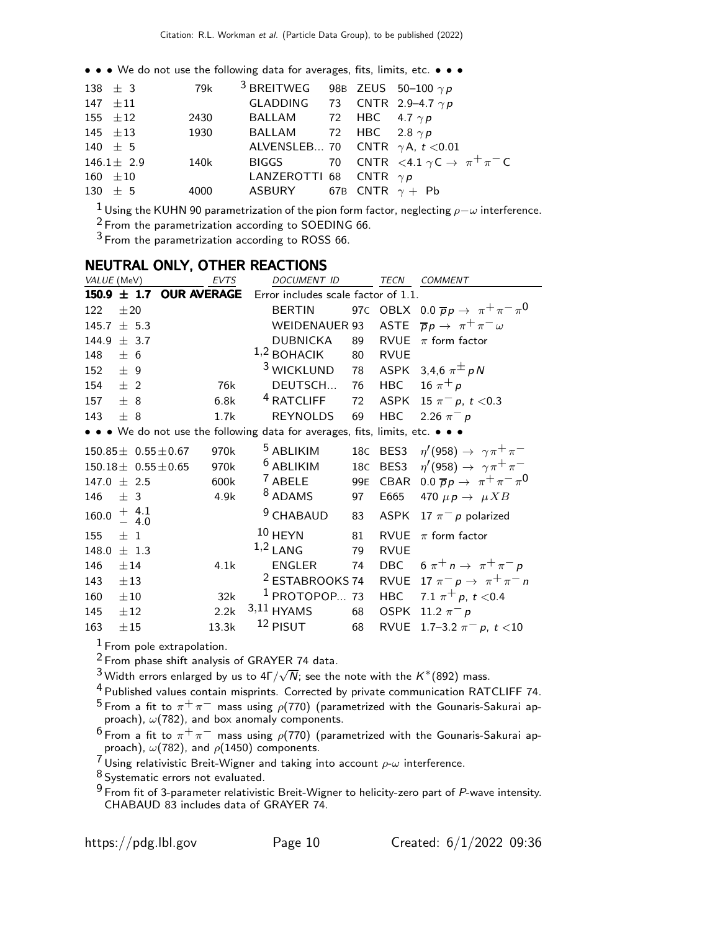• • • We do not use the following data for averages, fits, limits, etc. • • •

| 138 $\pm$ 3     | 79k $^{-3}$ BREITWEG 98B ZEUS 50-100 $\gamma$ $p$ |  |                                                         |
|-----------------|---------------------------------------------------|--|---------------------------------------------------------|
| 147 $\pm 11$    | GLADDING 73 CNTR 2.9-4.7 $\gamma p$               |  |                                                         |
| 155 $\pm 12$    | 2430 BALLAM 72 HBC 4.7 $\gamma p$                 |  |                                                         |
|                 | 145 $\pm$ 13 1930 BALLAM 72 HBC 2.8 $\gamma p$    |  |                                                         |
| 140 $\pm$ 5     | ALVENSLEB 70 CNTR $\gamma$ A, t < 0.01            |  |                                                         |
| $146.1 \pm 2.9$ |                                                   |  | 140k BIGGS 70 CNTR $\lt 4.1 \gamma C \to \pi^+ \pi^- C$ |
| $160 \pm 10$    | <b>LANZEROTTI 68 CNTR</b> $\gamma p$              |  |                                                         |
| $130 \pm 5$     | 4000 ASBURY 67B CNTR $\gamma$ + Pb                |  |                                                         |
|                 |                                                   |  |                                                         |

 $\frac{1}{2}$ Using the KUHN 90 parametrization of the pion form factor, neglecting  $\rho- \omega$  interference. <sup>2</sup> From the parametrization according to SOEDING 66.

From the parametrization according to ROSS 66.

## NEUTRAL ONLY, OTHER REACTIONS

| VALUE (MeV)        |                            | EVTS  | <b>DOCUMENT ID</b>                                                            |    | <b>TECN</b> | <b>COMMENT</b>                                           |
|--------------------|----------------------------|-------|-------------------------------------------------------------------------------|----|-------------|----------------------------------------------------------|
| $150.9 \pm 1.7$    | <b>OUR AVERAGE</b>         |       | Error includes scale factor of 1.1.                                           |    |             |                                                          |
| 122<br>±20         |                            |       | <b>BERTIN</b>                                                                 |    |             | 97C OBLX 0.0 $\overline{p}p \rightarrow \pi^+\pi^-\pi^0$ |
| 145.7              | ± 5.3                      |       | <b>WEIDENAUER 93</b>                                                          |    |             | ASTE $\overline{p}p \rightarrow \pi^+\pi^- \omega$       |
| 144.9              | ± 3.7                      |       | <b>DUBNICKA</b>                                                               | 89 | <b>RVUE</b> | $\pi$ form factor                                        |
| 148<br>± 6         |                            |       | $1,2$ BOHACIK                                                                 | 80 | <b>RVUE</b> |                                                          |
| ± 9<br>152         |                            |       | <sup>3</sup> WICKLUND                                                         | 78 |             | ASPK 3,4,6 $\pi^{\pm}$ pN                                |
| 154<br>$±$ 2       |                            | 76k   | DEUTSCH                                                                       | 76 |             | HBC 16 $\pi^{+} p$                                       |
| 157<br>± 8         |                            | 6.8k  | <sup>4</sup> RATCLIFF                                                         | 72 |             | ASPK 15 $\pi^- p$ , $t < 0.3$                            |
| ± 8<br>143         |                            | 1.7k  | <b>REYNOLDS</b>                                                               | 69 | <b>HBC</b>  | 2.26 $\pi^{-} p$                                         |
|                    |                            |       | • • • We do not use the following data for averages, fits, limits, etc. • • • |    |             |                                                          |
|                    | $150.85 \pm 0.55 \pm 0.67$ | 970k  | <sup>5</sup> ABLIKIM                                                          |    |             | 18C BES3 $\eta'(958) \rightarrow \gamma \pi^+ \pi^-$     |
|                    | $150.18 \pm 0.55 \pm 0.65$ | 970k  | <sup>6</sup> ABLIKIM                                                          |    | 18C BES3    | $\eta'(958) \rightarrow \gamma \pi^+ \pi^-$              |
| $147.0 + 2.5$      |                            | 600k  | <sup>7</sup> ABELE                                                            |    |             | 99E CBAR 0.0 $\overline{p}p \rightarrow \pi^+\pi^-\pi^0$ |
| 146<br>± 3         |                            | 4.9k  | <sup>8</sup> ADAMS                                                            | 97 | E665        | 470 $\mu \rho \rightarrow \mu X B$                       |
| 160.0              | $+ 4.1 - 4.0$              |       | <sup>9</sup> CHABAUD                                                          | 83 | <b>ASPK</b> | 17 $\pi$ <sup>-</sup> p polarized                        |
| $\pm$ 1<br>155     |                            |       | $10$ HEYN                                                                     | 81 | <b>RVUE</b> | $\pi$ form factor                                        |
| 148.0<br>$\pm$ 1.3 |                            |       | $1,2$ LANG                                                                    | 79 | <b>RVUE</b> |                                                          |
| 146<br>±14         |                            | 4.1k  | <b>ENGLER</b>                                                                 | 74 |             | DBC $6 \pi^+ n \rightarrow \pi^+ \pi^- p$                |
| 143<br>$\pm 13$    |                            |       | <sup>2</sup> ESTABROOKS 74                                                    |    |             | RVUE 17 $\pi^ p \rightarrow \pi^+ \pi^-$ n               |
| 160<br>$\pm 10$    |                            | 32k   | $1$ PROTOPOP 73                                                               |    | <b>HBC</b>  | 7.1 $\pi^+ p$ , t < 0.4                                  |
| 145<br>±12         |                            | 2.2k  | $3,11$ HYAMS                                                                  | 68 | <b>OSPK</b> | 11.2 $\pi^- p$                                           |
| 163<br>±15         |                            | 13.3k | 12 PISUT                                                                      | 68 |             | RVUE 1.7-3.2 $\pi^{-}$ p, t <10                          |

 $<sup>1</sup>$  From pole extrapolation.</sup>

From phase shift analysis of GRAYER 74 data.

 $^3$ Width errors enlarged by us to 4Γ/ $\sqrt{N}$ ; see the note with the  $K^*(892)$  mass.

Published values contain misprints. Corrected by private communication RATCLIFF 74.

 $^5$ From a fit to  $\pi^+\pi^-$  mass using  $\rho$ (770) (parametrized with the Gounaris-Sakurai approach),  $\omega(782)$ , and box anomaly components.

 $^6$ From a fit to  $\pi^+\pi^-$  mass using  $\rho$ (770) (parametrized with the Gounaris-Sakurai approach),  $\omega(782)$ , and  $\rho(1450)$  components.

 $^7$ Using relativistic Breit-Wigner and taking into account  $\rho\text{-}\omega$  interference.

8 Systematic errors not evaluated.

 From fit of 3-parameter relativistic Breit-Wigner to helicity-zero part of P-wave intensity. CHABAUD 83 includes data of GRAYER 74.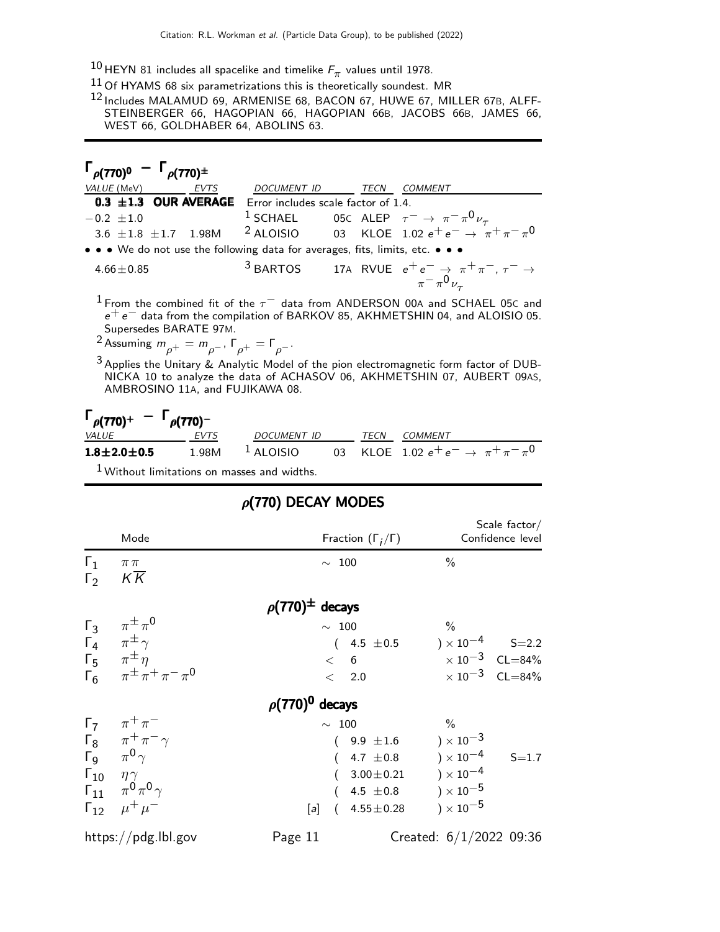$^{10}$ HEYN 81 includes all spacelike and timelike  $F_\pi$  values until 1978.

 $11$  Of HYAMS 68 six parametrizations this is theoretically soundest. MR

12 Includes MALAMUD 69, ARMENISE 68, BACON 67, HUWE 67, MILLER 67B, ALFF-STEINBERGER 66, HAGOPIAN 66, HAGOPIAN 66B, JACOBS 66B, JAMES 66, WEST 66, GOLDHABER 64, ABOLINS 63.

| $\Gamma_{\rho(770)^0} - \Gamma_{\rho(770)^{\pm}}$                                                                                                                                                         |                            |      |                                                                                  |  |
|-----------------------------------------------------------------------------------------------------------------------------------------------------------------------------------------------------------|----------------------------|------|----------------------------------------------------------------------------------|--|
| <i>VALUE</i> (MeV)                                                                                                                                                                                        | <b>EVTS</b><br>DOCUMENT ID | TECN | COMMENT                                                                          |  |
| 0.3 $\pm$ 1.3 OUR AVERAGE Error includes scale factor of 1.4.                                                                                                                                             |                            |      |                                                                                  |  |
| -0.2 ±1.0 <sup>1</sup> SCHAEL 05c ALEP $\tau^- \to \pi^- \pi^0 \nu_\tau$<br>3.6 ±1.8 ±1.7 1.98M <sup>2</sup> ALOISIO 03 KLOE 1.02 e <sup>+</sup> e <sup>-</sup> $\to \pi^+ \pi^- \pi^0$<br>$-0.2 \pm 1.0$ |                            |      |                                                                                  |  |
|                                                                                                                                                                                                           |                            |      |                                                                                  |  |
| $\bullet \bullet \bullet$ We do not use the following data for averages, fits, limits, etc. $\bullet \bullet \bullet$                                                                                     |                            |      |                                                                                  |  |
| $4.66 + 0.85$                                                                                                                                                                                             |                            |      | <sup>3</sup> BARTOS 17A RVUE $e^+e^- \rightarrow \pi^+\pi^-, \tau^- \rightarrow$ |  |
|                                                                                                                                                                                                           |                            |      | $\pi$ <sup>-</sup> $\pi$ <sup>0</sup> $\nu$ <sub>-</sub>                         |  |

 $^1$  From the combined fit of the  $\tau^-$  data from ANDERSON 00A and SCHAEL 05C and  $e^+e^-$  data from the compilation of BARKOV 85, AKHMETSHIN 04, and ALOISIO 05. Supersedes BARATE 97M.

<sup>2</sup> Assuming  $m_{\rho^+} = m_{\rho^-}$ ,  $\Gamma_{\rho^+} = \Gamma_{\rho^-}$ .

3 Applies the Unitary & Analytic Model of the pion electromagnetic form factor of DUB-NICKA 10 to analyze the data of ACHASOV 06, AKHMETSHIN 07, AUBERT 09AS, AMBROSINO 11A, and FUJIKAWA 08.

| $\Gamma_{\rho(770)^+} - \Gamma_{\rho(770)^-}$ |      |             |  |                                                                      |
|-----------------------------------------------|------|-------------|--|----------------------------------------------------------------------|
| <i>VALUE</i>                                  | EVTS | DOCUMENT ID |  | <i>TECN COMMENT</i>                                                  |
| $1.8 \pm 2.0 \pm 0.5$                         |      |             |  | 1.98M <sup>1</sup> ALOISIO 03 KLOE 1.02 $e^+e^- \to \pi^+\pi^-\pi^0$ |
| $\mathbf{1}$                                  |      |             |  |                                                                      |

Without limitations on masses and widths.

|                          | Mode                                                                              | Fraction $(\Gamma_i/\Gamma)$ | Scale $factor/$<br>Confidence level |
|--------------------------|-----------------------------------------------------------------------------------|------------------------------|-------------------------------------|
| $\Gamma_1$<br>$\Gamma_2$ | $\pi\,\pi$<br>$K\overline{K}$                                                     | $\sim$ 100                   | $\%$                                |
|                          |                                                                                   | $\rho(770)^{\pm}$ decays     |                                     |
|                          |                                                                                   | $\sim~100$                   | $\%$                                |
|                          | $\begin{matrix} \Gamma_3 & \pi^\pm\pi^0 \\ \Gamma_4 & \pi^\pm\gamma \end{matrix}$ | $(4.5 \pm 0.5)$              | $\chi$ 10 <sup>-4</sup> S=2.2       |
|                          | $\Gamma_5$ $\pi^{\pm} \eta$                                                       | < 6                          | $\times 10^{-3}$ CL=84%             |
|                          | $\Gamma_6$ $\pi^{\pm} \pi^+ \pi^- \pi^0$                                          | $<\phantom{00}2.0$           | $\times 10^{-3}$ CL=84%             |
|                          |                                                                                   | $\rho(770)^0$ decays         |                                     |
|                          | $\Gamma_7 \ \ \pi^+ \pi^-$                                                        | $\sim~100$                   | $\%$                                |
|                          | $\Gamma_8$ $\pi^+\pi^-\gamma$                                                     | $(9.9 \pm 1.6)$              | $) \times 10^{-3}$                  |
|                          | $\Gamma_9$ $\pi^0 \gamma$                                                         | $(4.7 \pm 0.8)$              | ) $\times$ 10 $^{-4}$<br>$S = 1.7$  |
|                          | $\Gamma_{10}$ $\eta \gamma$                                                       | $(3.00 \pm 0.21)$            | ) $\times$ 10 $^{-4}$               |
|                          | $\Gamma_{11}$ $\pi^0 \pi^0 \gamma$                                                | $(4.5 \pm 0.8)$              | ) $\times$ 10 $^{-5}$               |
|                          | $\Gamma_{12}$ $\mu^+ \mu^-$                                                       | $(4.55 \pm 0.28)$<br>[a]     | $) \times 10^{-5}$                  |
|                          | https://pdg.lbl.gov                                                               | Page 11                      | Created: $6/1/2022$ 09:36           |

## $\rho$ (770) DECAY MODES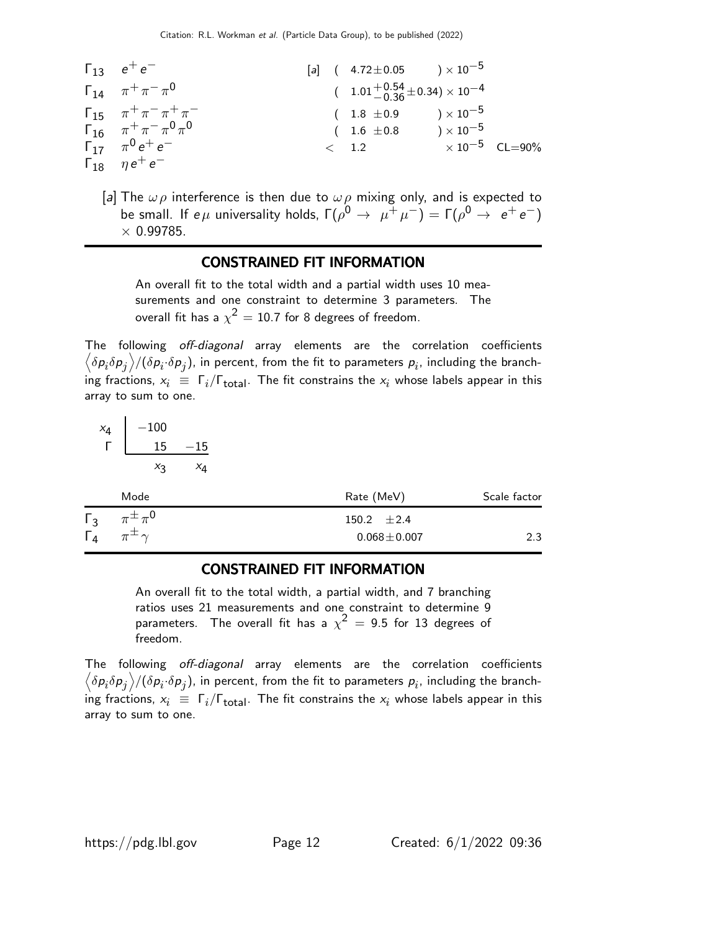| $\Gamma_{13}$ | $e^+e^-$                  | [a]                                               | (\n        4.72 ± 0.05 $) \times 10^{-5}$ |
|---------------|---------------------------|---------------------------------------------------|-------------------------------------------|
| $\Gamma_{14}$ | $\pi^+ \pi^- \pi^0$       | (\n        1.01 + 0.54 ± 0.34) × 10 <sup>-4</sup> |                                           |
| $\Gamma_{15}$ | $\pi^+ \pi^- \pi^+ \pi^-$ | (\n        1.8 ± 0.9 $) \times 10^{-5}$           |                                           |
| $\Gamma_{16}$ | $\pi^+ \pi^- \pi^0 \pi^0$ | (\n        1.6 ± 0.8 $) \times 10^{-5}$           |                                           |
| $\Gamma_{17}$ | $\pi^0 e^+ e^-$           | (\n        1.2 $\times 10^{-5}$ CL=90%            |                                           |

[a] The  $\omega \rho$  interference is then due to  $\omega \rho$  mixing only, and is expected to be small. If  $e\mu$  universality holds,  $\Gamma(\rho^0 \to \mu^+ \mu^-) = \Gamma(\rho^0 \to e^+ e^-)$  $\times$  0.99785.

## CONSTRAINED FIT INFORMATION

An overall fit to the total width and a partial width uses 10 measurements and one constraint to determine 3 parameters. The overall fit has a  $\chi^2=10.7$  for 8 degrees of freedom.

The following off-diagonal array elements are the correlation coefficients  $\left<\delta p_i\delta p_j\right>$ /( $\delta p_i\!\cdot\!\delta p_j$ ), in percent, from the fit to parameters  $p_i$ , including the branching fractions,  $x_i \equiv \Gamma_i/\Gamma_{\rm total}$ . The fit constrains the  $x_i$  whose labels appear in this array to sum to one.

$$
\begin{array}{c|c}\n x_4 & -100 \\
 \hline\n \text{r} & \underline{15} & -15\n \end{array}
$$

 $x_3$ 

 $x_4$ 

| Mode                                                                          | Rate (MeV)                           | Scale factor |
|-------------------------------------------------------------------------------|--------------------------------------|--------------|
| $\pi^{\pm}\pi^{\mathsf{0}}$<br>$\lceil$ 3<br>$\Gamma_4$<br>$\pi^{\pm} \gamma$ | 150.2 $\pm 2.4$<br>$0.068 \pm 0.007$ | 2.3          |

#### CONSTRAINED FIT INFORMATION

An overall fit to the total width, a partial width, and 7 branching ratios uses 21 measurements and one constraint to determine 9 parameters. The overall fit has a  $\chi^2\,=\,$  9.5 for 13 degrees of freedom.

The following off-diagonal array elements are the correlation coefficients  $\left<\delta p_i\delta p_j\right>$ /( $\delta p_i\!\cdot\!\delta p_j$ ), in percent, from the fit to parameters  $p_i$ , including the branching fractions,  $x_i \equiv \Gamma_i/\Gamma_{\rm total}$ . The fit constrains the  $x_i$  whose labels appear in this array to sum to one.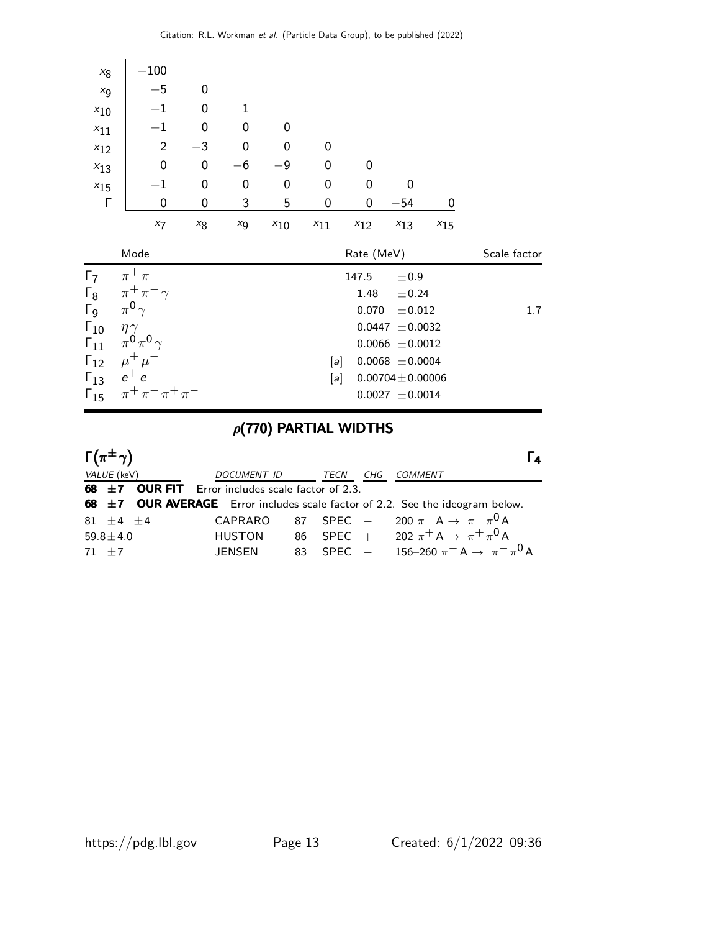| $x_8$                          | $-100$                                     |       |                  |          |          |               |                                              |          |              |
|--------------------------------|--------------------------------------------|-------|------------------|----------|----------|---------------|----------------------------------------------|----------|--------------|
| $x_{9}$                        | $-5$                                       | 0     |                  |          |          |               |                                              |          |              |
| $x_{10}$                       | $-1$                                       | 0     | 1                |          |          |               |                                              |          |              |
| $x_{11}$                       | $-1$                                       | 0     | 0                | 0        |          |               |                                              |          |              |
| $x_{12}$                       | $\overline{2}$                             | $-3$  | $\boldsymbol{0}$ | 0        | 0        |               |                                              |          |              |
| $x_{13}$                       | $\mathbf 0$                                | 0     | $-6$             | $-9$     | 0        | $\mathbf 0$   |                                              |          |              |
| $x_{15}$                       | $^{-1}$                                    | 0     | 0                | 0        | 0        | $\mathbf 0$   | 0                                            |          |              |
| $\Gamma$                       | 0                                          | 0     | 3                | 5        | 0        | 0             | $-54$                                        | 0        |              |
|                                | $x_7$                                      | $x_8$ | $x_{9}$          | $x_{10}$ | $x_{11}$ | $x_{12}$      | $x_{13}$                                     | $x_{15}$ |              |
|                                |                                            |       |                  |          |          |               |                                              |          |              |
|                                | Mode                                       |       |                  |          |          | Rate (MeV)    |                                              |          | Scale factor |
| $\Gamma_7$<br>$\Gamma_8$       | $\pi^+\pi^-$<br>$\pi^+\pi^-\gamma$         |       |                  |          |          | 147.5<br>1.48 | ±0.9<br>± 0.24                               |          |              |
| $\Gamma$ <sub>9</sub>          | $\pi^0 \gamma$                             |       |                  |          |          | 0.070         | $\pm 0.012$                                  |          | 1.7          |
| $\Gamma_{10}$                  | $\eta \gamma$                              |       |                  |          |          |               | $0.0447 \pm 0.0032$                          |          |              |
| $\Gamma_{11}$                  | $\pi^0\pi^0\gamma$                         |       |                  |          |          |               | $0.0066 \pm 0.0012$                          |          |              |
| $\Gamma_{12}$                  | $\mu^+ \mu^-$                              |       |                  |          | [a]      |               | $0.0068 \pm 0.0004$                          |          |              |
| $\Gamma_{13}$<br>$\Gamma_{15}$ | $e^+e^-$<br>$\pi^{+}\pi^{-}\pi^{+}\pi^{-}$ |       |                  |          | [a]      |               | $0.00704 \pm 0.00006$<br>$0.0027 \pm 0.0014$ |          |              |

# $\rho$ (770) PARTIAL WIDTHS

| $\Gamma(\pi^{\pm}\gamma)$                              |                    |           |     | Iа                                                                                            |
|--------------------------------------------------------|--------------------|-----------|-----|-----------------------------------------------------------------------------------------------|
| VALUE (keV)                                            | <i>DOCUMENT ID</i> | TECN      | CHG | COMMENT                                                                                       |
| 68 $\pm$ 7 OUR FIT Error includes scale factor of 2.3. |                    |           |     |                                                                                               |
|                                                        |                    |           |     | 68 ±7 OUR AVERAGE Error includes scale factor of 2.2. See the ideogram below.                 |
| $81 + 4 + 4$                                           | <b>CAPRARO</b>     |           |     | 87 SPEC $-$ 200 $\pi^-$ A $\rightarrow \pi^ \pi^0$ A                                          |
| $59.8 \pm 4.0$                                         |                    |           |     | HUSTON 86 SPEC + 202 $\pi$ <sup>+</sup> A $\rightarrow \pi$ <sup>+</sup> $\pi$ <sup>0</sup> A |
| $71 + 7$                                               | JENSEN             | 83 SPEC - |     | 156–260 $\pi^- A \to \pi^- \pi^0 A$                                                           |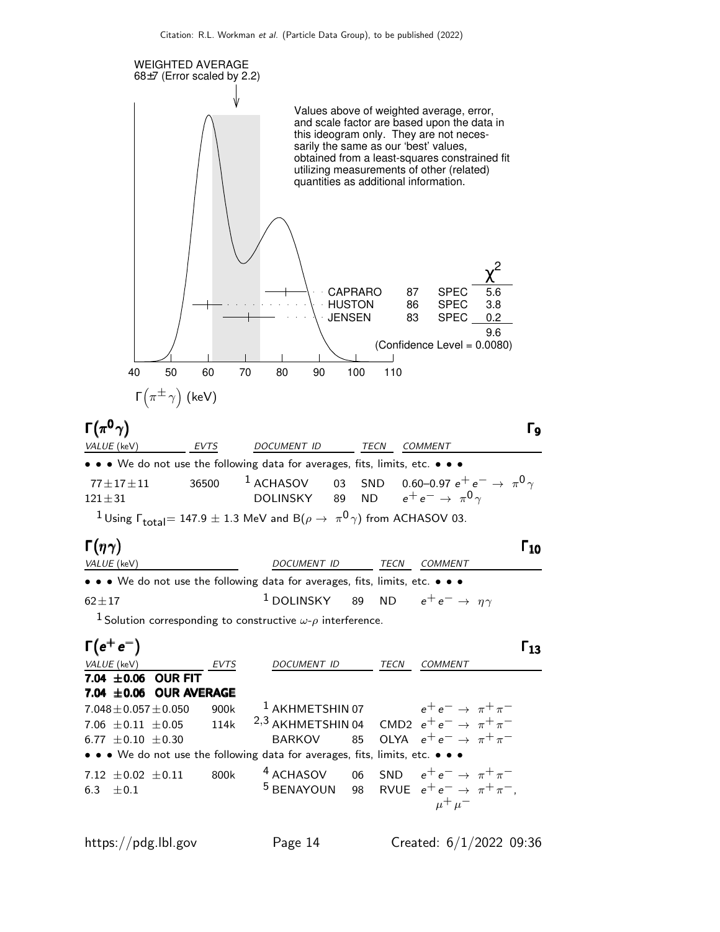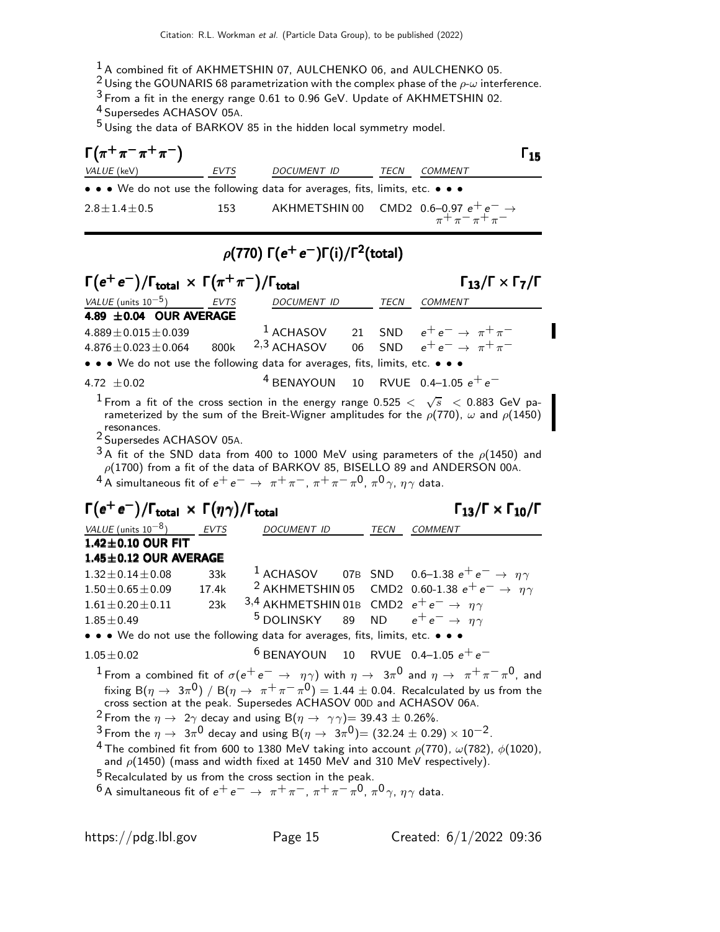<sup>1</sup> A combined fit of AKHMETSHIN 07, AULCHENKO 06, and AULCHENKO 05.

<sup>2</sup> Using the GOUNARIS 68 parametrization with the complex phase of the  $\rho$ - $\omega$  interference.

3 From a fit in the energy range 0.61 to 0.96 GeV. Update of AKHMETSHIN 02.

4 Supersedes ACHASOV 05A.

5 Using the data of BARKOV 85 in the hidden local symmetry model.

| $\Gamma(\pi^+\pi^-\pi^+\pi^-)$ |             |                                                                               |      |                | $\mathsf{r}_{15}$ |
|--------------------------------|-------------|-------------------------------------------------------------------------------|------|----------------|-------------------|
| <i>VALUE</i> (keV)             | <i>EVTS</i> | <i>DOCUMENT ID</i>                                                            | TECN | <i>COMMENT</i> |                   |
|                                |             | • • • We do not use the following data for averages, fits, limits, etc. • • • |      |                |                   |
| $2.8 \pm 1.4 \pm 0.5$          | 153         | AKHMETSHIN 00 CMD2 0.6–0.97 $e^+e^- \rightarrow$<br>$\pi^+\pi^-\pi^+\pi^-$    |      |                |                   |

# $\rho$ (770) Γ $(e^+e^-)$ Γ(i)/Γ $^2$ (total)

| $\Gamma(e^+e^-)/\Gamma_{\text{total}} \times \Gamma(\pi^+\pi^-)/\Gamma_{\text{total}}$ |  |                    | $\Gamma_{13}/\Gamma \times \Gamma_{7}/\Gamma$ |             |                                                                                                  |
|----------------------------------------------------------------------------------------|--|--------------------|-----------------------------------------------|-------------|--------------------------------------------------------------------------------------------------|
| VALUE (units $10^{-5}$ ) EVTS                                                          |  | <b>DOCUMENT ID</b> |                                               | <b>TECN</b> | COMMENT                                                                                          |
| 4.89 $\pm$ 0.04 OUR AVERAGE                                                            |  |                    |                                               |             |                                                                                                  |
| $4.889 \pm 0.015 \pm 0.039$                                                            |  |                    |                                               |             | <sup>1</sup> ACHASOV 21 SND $e^+e^- \rightarrow \pi^+\pi^-$                                      |
| $4.876\pm0.023\pm0.064$                                                                |  |                    |                                               |             | 800k <sup>2,3</sup> ACHASOV 06 SND $e^+e^- \rightarrow \pi^+\pi^-$                               |
| • • • We do not use the following data for averages, fits, limits, etc. • • •          |  |                    |                                               |             |                                                                                                  |
| 4.72 $\pm$ 0.02                                                                        |  |                    |                                               |             | <sup>4</sup> BENAYOUN 10 RVUE 0.4-1.05 $e^+e^-$                                                  |
|                                                                                        |  |                    |                                               |             | I Example fit of the exact section in the energy range 0.525 $\lt$ $\sqrt{2}$ $\lt$ 0.002 CeV no |

 $^1$  From a fit of the cross section in the energy range 0.525  $<$   $\sqrt{s}$   $<$  0.883 GeV parameterized by the sum of the Breit-Wigner amplitudes for the  $\rho(770)$ ,  $\omega$  and  $\rho(1450)$ resonances.

2 Supersedes ACHASOV 05A.

 $3A$  fit of the SND data from 400 to 1000 MeV using parameters of the  $\rho(1450)$  and  $\rho(1700)$  from a fit of the data of BARKOV 85, BISELLO 89 and ANDERSON 00A.  $^4$  A simultaneous fit of  $e^+e^-\rightarrow \pi^+\pi^-, \pi^+\pi^-\pi^0, \pi^0\gamma, \eta\gamma$  data.

# $\Gamma(e^+e^-)/\Gamma_{\text{total}} \times \Gamma(\eta \gamma)/\Gamma_{\text{total}}$  Γ<sub>13</sub>/Γ  $\times$  Γ<sub>10</sub>/Γ

 $\Gamma_{13}/\Gamma \times \Gamma_{10}/\Gamma$ 

| VALUE (units $10^{-8}$ ) EVTS                                                 |       | <b>DOCUMENT ID</b>                                                 | <b>TECN</b> | <i>COMMENT</i>                                                                                                                  |
|-------------------------------------------------------------------------------|-------|--------------------------------------------------------------------|-------------|---------------------------------------------------------------------------------------------------------------------------------|
| $1.42 \pm 0.10$ OUR FIT                                                       |       |                                                                    |             |                                                                                                                                 |
| $1.45 \pm 0.12$ OUR AVERAGE                                                   |       |                                                                    |             |                                                                                                                                 |
| $1.32 \pm 0.14 \pm 0.08$                                                      | 33k   |                                                                    |             | <sup>1</sup> ACHASOV 07B SND 0.6-1.38 $e^+e^- \rightarrow \eta \gamma$                                                          |
| $1.50 \pm 0.65 \pm 0.09$                                                      | 17.4k |                                                                    |             | <sup>2</sup> AKHMETSHIN 05 CMD2 0.60-1.38 $e^+e^- \rightarrow \eta \gamma$                                                      |
| $1.61 \pm 0.20 \pm 0.11$ 23k                                                  |       | 3,4 AKHMETSHIN 01B CMD2 $e^+e^- \rightarrow \eta \gamma$           |             |                                                                                                                                 |
| $1.85 \pm 0.49$                                                               |       | <sup>5</sup> DOLINSKY 89 ND $e^+e^- \rightarrow \eta \gamma$       |             |                                                                                                                                 |
| • • • We do not use the following data for averages, fits, limits, etc. • • • |       |                                                                    |             |                                                                                                                                 |
| $1.05 \pm 0.02$                                                               |       |                                                                    |             | <sup>6</sup> BENAYOUN 10 RVUE 0.4-1.05 $e^+e^-$                                                                                 |
|                                                                               |       |                                                                    |             | <sup>1</sup> From a combined fit of $\sigma(e^+e^- \to \eta\gamma)$ with $\eta \to 3\pi^0$ and $\eta \to \pi^+\pi^-\pi^0$ , and |
|                                                                               |       |                                                                    |             | fixing B( $\eta \to 3\pi^0$ ) / B( $\eta \to \pi^+\pi^-\pi^0$ ) = 1.44 ± 0.04. Recalculated by us from the                      |
|                                                                               |       | cross section at the peak. Supersedes ACHASOV 00D and ACHASOV 06A. |             |                                                                                                                                 |

<sup>2</sup> From the  $\eta \to 2\gamma$  decay and using B $(\eta \to \gamma \gamma)$  = 39.43  $\pm$  0.26%.

 $3$  From the  $\eta \to 3\pi^0$  decay and using  $B(\eta \to 3\pi^0)$   $=(32.24 \pm 0.29) \times 10^{-2}$ .

<sup>4</sup> The combined fit from 600 to 1380 MeV taking into account  $\rho(770)$ ,  $\omega(782)$ ,  $\phi(1020)$ , and  $\rho(1450)$  (mass and width fixed at 1450 MeV and 310 MeV respectively).

 $^5$  Recalculated by us from the cross section in the peak.

 $^6$  A simultaneous fit of  $e^+e^-\,\rightarrow\,\,\pi^+\pi^-$ ,  $\pi^+\pi^-\pi^0$ ,  $\pi^0\gamma$ ,  $\eta\gamma$  data.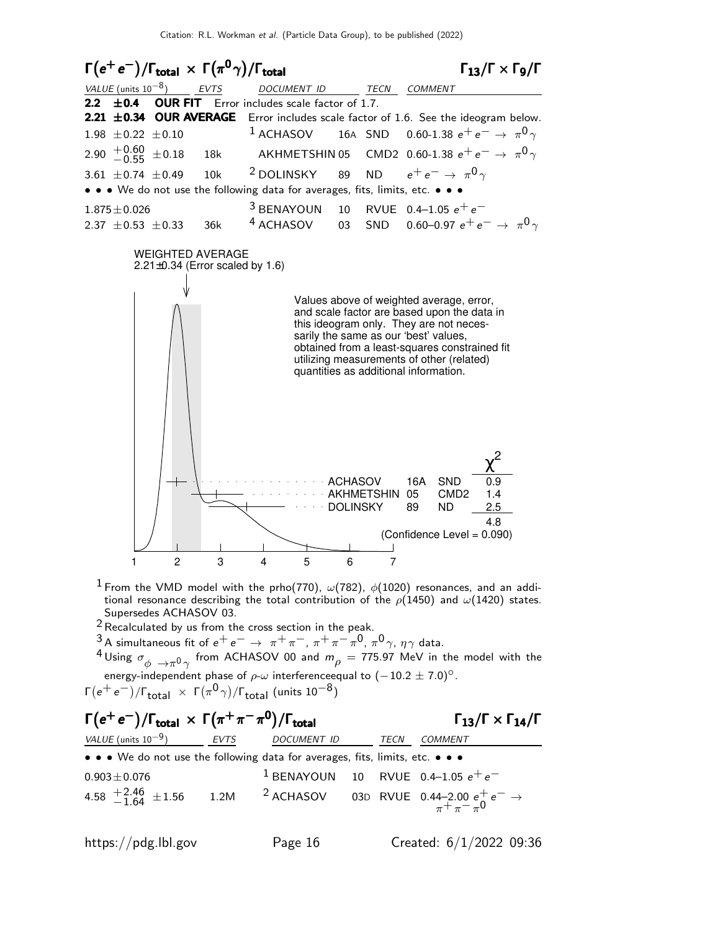

 $^1$  From the VMD model with the prho(770),  $\omega(782)$ ,  $\phi(1020)$  resonances, and an additional resonance describing the total contribution of the  $\rho(1450)$  and  $\omega(1420)$  states. Supersedes ACHASOV 03.

- 2Recalculated by us from the cross section in the peak.
- <sup>3</sup> A simultaneous fit of  $e^+e^-$  →  $\pi^+\pi^-$ ,  $\pi^+\pi^-\pi^0$ ,  $\pi^0$ γ,  $\eta\gamma$  data.
- <sup>4</sup> Using  $\sigma_{\phi} \rightarrow \pi^0 \gamma$  from ACHASOV 00 and  $m_{\rho} = 775.97$  MeV in the model with the energy-independent phase of  $\rho-\omega$  interference qual to  $(-10.2 \pm 7.0)^\circ$ .

Γ $(e^+e^-)/$ Γ $_{\rm total}~\times~$ Γ $(\pi^0\gamma)/$ Γ $_{\rm total}$  (units 10 $^{-8})$ 

## $\Gamma(e^+e^-)/\Gamma_{\text{total}} \times \Gamma(\pi^+\pi^-\pi^0)/\Gamma_{\text{total}}$  Γ<sub>13</sub>/Γ  $\times$  Γ<sub>14</sub>/Γ  $\Gamma_{13}/\Gamma \times \Gamma_{14}/\Gamma$ VALUE (units 10<sup>-9</sup>) \_\_\_\_\_\_ EVTS DOCUMENT ID TECN COMMENT • • • We do not use the following data for averages, fits, limits, etc. • • •  $0.903 \pm 0.076$  1 BENAYOUN 10 RVUE 0.4–1.05  $e^+e^-$ <br>4.58  $+2.46$   $\pm 1.56$  1.2M <sup>2</sup> ACHASOV 03D RVUE 0.44–2.00  $e^+_2e^-$ 4.58  $+2.46$   $\pm 1.56$  $^{+2.46}_{-1.64}$  ±1.56  $^{-1.2}$ M  $^{-2}$  ACHASOV  $^{-0.3}$ D RVUE 0.44–2.00  $e^+e^-\to^{+2.46}_{\pi^+\pi^-\pi^0}$ 0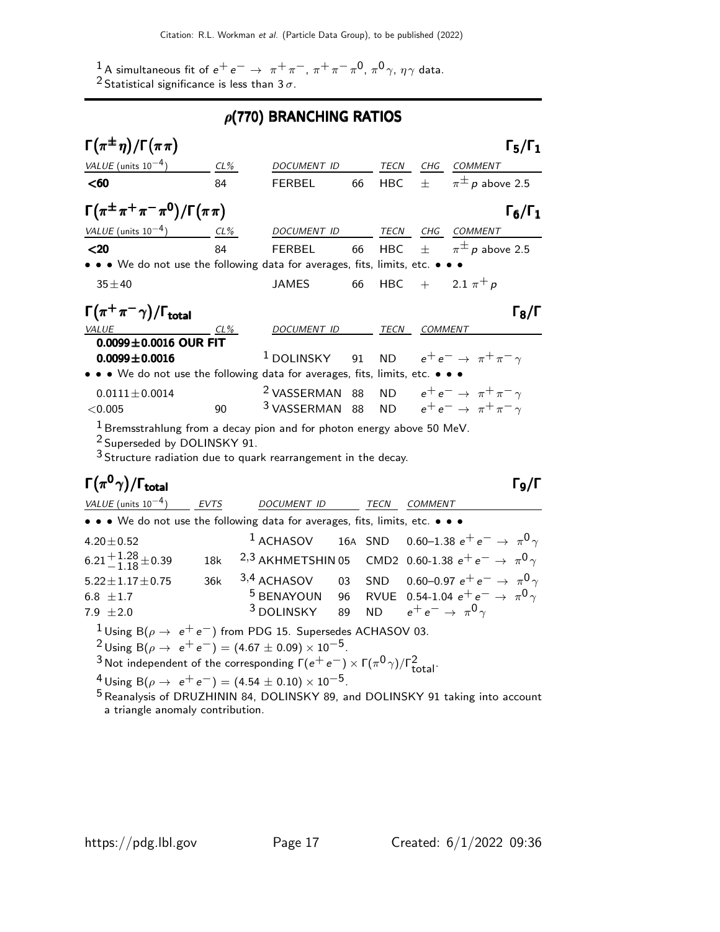1 A simultaneous fit of  $e^+e^- \rightarrow \pi^+\pi^-, \pi^+\pi^-\pi^0, \pi^0\gamma, \eta\gamma$  data.  $^2$ Statistical significance is less than 3  $\sigma$ .

# $\rho$ (770) BRANCHING RATIOS

| VALUE (units $10^{-4}$ )<br>$CL\%$<br>TECN<br>CHG<br>DOCUMENT ID<br><b>COMMENT</b><br>$\pi^{\pm}$ p above 2.5<br>$\pm$<br>$60$<br><b>HBC</b><br>84<br><b>FERBEL</b><br>66<br>$\Gamma(\pi^{\pm}\pi^+\pi^-\pi^0)/\Gamma(\pi\pi)$<br>VALUE (units $10^{-4}$ ) CL%<br>DOCUMENT ID<br>TECN CHG COMMENT<br>84<br>$\pi^{\pm}$ p above 2.5<br>$20$<br>$\pm$<br><b>FERBEL</b><br>66<br><b>HBC</b><br>• • • We do not use the following data for averages, fits, limits, etc. • •<br>HBC + $2.1 \pi^{+} p$<br><b>JAMES</b><br>$35 + 40$<br>66<br>$\Gamma(\pi^+\pi^-\gamma)/\Gamma_{\rm total}$<br>TECN COMMENT<br><b>VALUE</b><br>DOCUMENT ID<br>$CL\%$<br>$0.0099 \pm 0.0016$ OUR FIT<br>ND $e^+e^- \rightarrow \pi^+\pi^-\gamma$<br>$1$ DOLINSKY<br>91<br>$0.0099 \pm 0.0016$<br>• • • We do not use the following data for averages, fits, limits, etc. • •<br><sup>2</sup> VASSERMAN 88<br>ND $e^+e^- \rightarrow \pi^+\pi^-\gamma$<br>$0.0111 \pm 0.0014$<br>ND $e^+e^- \rightarrow \pi^+\pi^-\gamma$<br><sup>3</sup> VASSERMAN 88<br>90<br>< 0.005<br>$1$ Bremsstrahlung from a decay pion and for photon energy above 50 MeV. | $\Gamma_6/\Gamma_1$<br>$\Gamma_8/\Gamma$ |
|----------------------------------------------------------------------------------------------------------------------------------------------------------------------------------------------------------------------------------------------------------------------------------------------------------------------------------------------------------------------------------------------------------------------------------------------------------------------------------------------------------------------------------------------------------------------------------------------------------------------------------------------------------------------------------------------------------------------------------------------------------------------------------------------------------------------------------------------------------------------------------------------------------------------------------------------------------------------------------------------------------------------------------------------------------------------------------------------------------------------------|------------------------------------------|
|                                                                                                                                                                                                                                                                                                                                                                                                                                                                                                                                                                                                                                                                                                                                                                                                                                                                                                                                                                                                                                                                                                                            |                                          |
|                                                                                                                                                                                                                                                                                                                                                                                                                                                                                                                                                                                                                                                                                                                                                                                                                                                                                                                                                                                                                                                                                                                            |                                          |
|                                                                                                                                                                                                                                                                                                                                                                                                                                                                                                                                                                                                                                                                                                                                                                                                                                                                                                                                                                                                                                                                                                                            |                                          |
|                                                                                                                                                                                                                                                                                                                                                                                                                                                                                                                                                                                                                                                                                                                                                                                                                                                                                                                                                                                                                                                                                                                            |                                          |
|                                                                                                                                                                                                                                                                                                                                                                                                                                                                                                                                                                                                                                                                                                                                                                                                                                                                                                                                                                                                                                                                                                                            |                                          |
|                                                                                                                                                                                                                                                                                                                                                                                                                                                                                                                                                                                                                                                                                                                                                                                                                                                                                                                                                                                                                                                                                                                            |                                          |
|                                                                                                                                                                                                                                                                                                                                                                                                                                                                                                                                                                                                                                                                                                                                                                                                                                                                                                                                                                                                                                                                                                                            |                                          |
|                                                                                                                                                                                                                                                                                                                                                                                                                                                                                                                                                                                                                                                                                                                                                                                                                                                                                                                                                                                                                                                                                                                            |                                          |
|                                                                                                                                                                                                                                                                                                                                                                                                                                                                                                                                                                                                                                                                                                                                                                                                                                                                                                                                                                                                                                                                                                                            |                                          |
|                                                                                                                                                                                                                                                                                                                                                                                                                                                                                                                                                                                                                                                                                                                                                                                                                                                                                                                                                                                                                                                                                                                            |                                          |
|                                                                                                                                                                                                                                                                                                                                                                                                                                                                                                                                                                                                                                                                                                                                                                                                                                                                                                                                                                                                                                                                                                                            |                                          |
|                                                                                                                                                                                                                                                                                                                                                                                                                                                                                                                                                                                                                                                                                                                                                                                                                                                                                                                                                                                                                                                                                                                            |                                          |
| <sup>2</sup> Superseded by DOLINSKY 91.<br><sup>3</sup> Structure radiation due to quark rearrangement in the decay.                                                                                                                                                                                                                                                                                                                                                                                                                                                                                                                                                                                                                                                                                                                                                                                                                                                                                                                                                                                                       |                                          |
| $\Gamma(\pi^0\gamma)/\Gamma_{\rm total}$                                                                                                                                                                                                                                                                                                                                                                                                                                                                                                                                                                                                                                                                                                                                                                                                                                                                                                                                                                                                                                                                                   | Г <sub>9</sub> /Г                        |
| VALUE (units $10^{-4}$ )<br><b>EVTS</b><br>DOCUMEN <u>T ID</u><br>TECN<br><b>COMMENT</b>                                                                                                                                                                                                                                                                                                                                                                                                                                                                                                                                                                                                                                                                                                                                                                                                                                                                                                                                                                                                                                   |                                          |
| • • • We do not use the following data for averages, fits, limits, etc. • • •                                                                                                                                                                                                                                                                                                                                                                                                                                                                                                                                                                                                                                                                                                                                                                                                                                                                                                                                                                                                                                              |                                          |
| <sup>1</sup> ACHASOV 16A SND 0.60-1.38 $e^+e^- \rightarrow \pi^0 \gamma$<br>$4.20 \pm 0.52$                                                                                                                                                                                                                                                                                                                                                                                                                                                                                                                                                                                                                                                                                                                                                                                                                                                                                                                                                                                                                                |                                          |
| $6.21 + 1.28 + 0.39$<br><sup>2,3</sup> AKHMETSHIN 05 CMD2 0.60-1.38 $e^+e^- \rightarrow \pi^0 \gamma$<br>18k                                                                                                                                                                                                                                                                                                                                                                                                                                                                                                                                                                                                                                                                                                                                                                                                                                                                                                                                                                                                               |                                          |
| $3,4$ ACHASOV 03<br>0.60–0.97 $e^+e^- \rightarrow \pi^0 \gamma$<br>SND<br>36k<br>$5.22 \pm 1.17 \pm 0.75$                                                                                                                                                                                                                                                                                                                                                                                                                                                                                                                                                                                                                                                                                                                                                                                                                                                                                                                                                                                                                  |                                          |
| <sup>5</sup> BENAYOUN 96<br>RVUE 0.54-1.04 $e^+e^- \rightarrow \pi^0 \gamma$<br>6.8 $\pm 1.7$                                                                                                                                                                                                                                                                                                                                                                                                                                                                                                                                                                                                                                                                                                                                                                                                                                                                                                                                                                                                                              |                                          |
| $3$ DOLINSKY<br>$e^+e^- \rightarrow \pi^0 \gamma$<br>89<br><b>ND</b><br>7.9 $\pm 2.0$                                                                                                                                                                                                                                                                                                                                                                                                                                                                                                                                                                                                                                                                                                                                                                                                                                                                                                                                                                                                                                      |                                          |
| <sup>1</sup> Using B( $\rho \rightarrow e^+e^-$ ) from PDG 15. Supersedes ACHASOV 03.<br><sup>2</sup> Using B( $\rho \rightarrow e^+e^-$ ) = (4.67 $\pm$ 0.09) × 10 <sup>-5</sup> .<br><sup>3</sup> Not independent of the corresponding $\Gamma(e^+e^-) \times \Gamma(\pi^0\gamma)/\Gamma_{total}^2$ .<br><sup>4</sup> Using B( $\rho \rightarrow e^+e^-$ ) = (4.54 ± 0.10) × 10 <sup>-5</sup> .<br><sup>5</sup> Beanalysis of DRUZHININ 84 DOUNSKY 80 and DOUNSKY 01 taking into account                                                                                                                                                                                                                                                                                                                                                                                                                                                                                                                                                                                                                                 |                                          |

<sup>5</sup> Reanalysis of DRUZHININ 84, DOLINSKY 89, and DOLINSKY 91 taking into account a triangle anomaly contribution.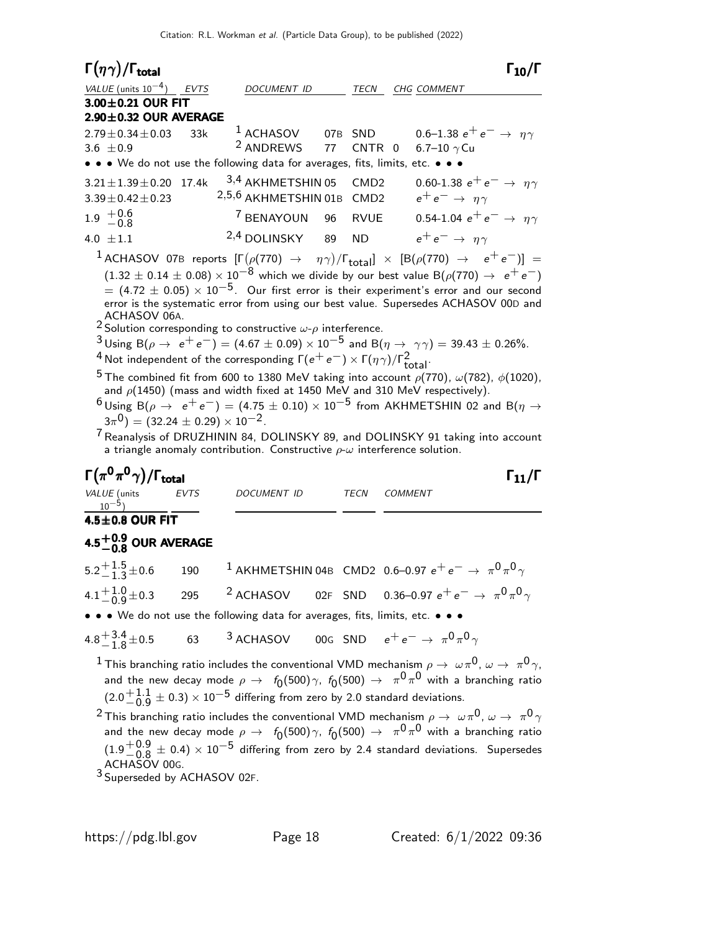| $\Gamma(\eta\gamma)/\Gamma_{\rm total}$                                                                                                                                                                                                                                                                                                                                                                                                                                                                                                                                                                                                                                                                                                                                                                                                                                                                                                                                                                                                                                                                                                                                                                                                                                 |                                      |                         | $\Gamma_{10}/\Gamma$                                                                                                                                                                                                                                                                                                                                                               |  |  |  |
|-------------------------------------------------------------------------------------------------------------------------------------------------------------------------------------------------------------------------------------------------------------------------------------------------------------------------------------------------------------------------------------------------------------------------------------------------------------------------------------------------------------------------------------------------------------------------------------------------------------------------------------------------------------------------------------------------------------------------------------------------------------------------------------------------------------------------------------------------------------------------------------------------------------------------------------------------------------------------------------------------------------------------------------------------------------------------------------------------------------------------------------------------------------------------------------------------------------------------------------------------------------------------|--------------------------------------|-------------------------|------------------------------------------------------------------------------------------------------------------------------------------------------------------------------------------------------------------------------------------------------------------------------------------------------------------------------------------------------------------------------------|--|--|--|
| VALUE (units $10^{-4}$ ) EVTS                                                                                                                                                                                                                                                                                                                                                                                                                                                                                                                                                                                                                                                                                                                                                                                                                                                                                                                                                                                                                                                                                                                                                                                                                                           | DOCUMENT ID                          | TECN                    | CHG COMMENT                                                                                                                                                                                                                                                                                                                                                                        |  |  |  |
| 3.00±0.21 OUR FIT                                                                                                                                                                                                                                                                                                                                                                                                                                                                                                                                                                                                                                                                                                                                                                                                                                                                                                                                                                                                                                                                                                                                                                                                                                                       |                                      |                         |                                                                                                                                                                                                                                                                                                                                                                                    |  |  |  |
| $2.90 \pm 0.32$ OUR AVERAGE                                                                                                                                                                                                                                                                                                                                                                                                                                                                                                                                                                                                                                                                                                                                                                                                                                                                                                                                                                                                                                                                                                                                                                                                                                             |                                      |                         |                                                                                                                                                                                                                                                                                                                                                                                    |  |  |  |
| $2.79 \pm 0.34 \pm 0.03$<br>33k<br>3.6 $\pm 0.9$                                                                                                                                                                                                                                                                                                                                                                                                                                                                                                                                                                                                                                                                                                                                                                                                                                                                                                                                                                                                                                                                                                                                                                                                                        | $^1$ ACHASOV<br><sup>2</sup> ANDREWS | 07B SND<br>77<br>CNTR 0 | 0.6–1.38 $e^+e^- \rightarrow \eta \gamma$<br>6.7-10 $\gamma$ Cu                                                                                                                                                                                                                                                                                                                    |  |  |  |
| • • • We do not use the following data for averages, fits, limits, etc. • • •                                                                                                                                                                                                                                                                                                                                                                                                                                                                                                                                                                                                                                                                                                                                                                                                                                                                                                                                                                                                                                                                                                                                                                                           |                                      |                         |                                                                                                                                                                                                                                                                                                                                                                                    |  |  |  |
| 17.4k<br>$3.21 \pm 1.39 \pm 0.20$                                                                                                                                                                                                                                                                                                                                                                                                                                                                                                                                                                                                                                                                                                                                                                                                                                                                                                                                                                                                                                                                                                                                                                                                                                       | 3,4 AKHMETSHIN 05                    | CMD <sub>2</sub>        | 0.60-1.38 $e^+e^- \rightarrow \eta \gamma$                                                                                                                                                                                                                                                                                                                                         |  |  |  |
| $3.39 \pm 0.42 \pm 0.23$                                                                                                                                                                                                                                                                                                                                                                                                                                                                                                                                                                                                                                                                                                                                                                                                                                                                                                                                                                                                                                                                                                                                                                                                                                                | 2,5,6 AKHMETSHIN 01B CMD2            |                         | $e^+e^- \rightarrow \eta \gamma$                                                                                                                                                                                                                                                                                                                                                   |  |  |  |
| $1.9 \begin{array}{c} +0.6 \\ -0.8 \end{array}$                                                                                                                                                                                                                                                                                                                                                                                                                                                                                                                                                                                                                                                                                                                                                                                                                                                                                                                                                                                                                                                                                                                                                                                                                         | <sup>7</sup> BENAYOUN                | 96 RVUE                 | 0.54-1.04 $e^+e^- \rightarrow \eta \gamma$                                                                                                                                                                                                                                                                                                                                         |  |  |  |
| 4.0 $\pm 1.1$                                                                                                                                                                                                                                                                                                                                                                                                                                                                                                                                                                                                                                                                                                                                                                                                                                                                                                                                                                                                                                                                                                                                                                                                                                                           | <sup>2,4</sup> DOLINSKY              | 89<br><b>ND</b>         | $e^+e^- \rightarrow \eta \gamma$                                                                                                                                                                                                                                                                                                                                                   |  |  |  |
|                                                                                                                                                                                                                                                                                                                                                                                                                                                                                                                                                                                                                                                                                                                                                                                                                                                                                                                                                                                                                                                                                                                                                                                                                                                                         |                                      |                         | $^1$ ACHASOV 07B reports $[\Gamma(\rho(770) \rightarrow \eta\gamma)/\Gamma_{\rm total}]\times [B(\rho(770) \rightarrow e^+e^-)] =$                                                                                                                                                                                                                                                 |  |  |  |
| $(1.32 \pm 0.14 \pm 0.08) \times 10^{-8}$ which we divide by our best value B( $\rho(770) \rightarrow e^+e^-$ )<br>$=$ (4.72 $\pm$ 0.05) $\times$ 10 <sup>-5</sup> . Our first error is their experiment's error and our second<br>error is the systematic error from using our best value. Supersedes ACHASOV 00D and<br>ACHASOV 06A.<br><sup>2</sup> Solution corresponding to constructive $\omega$ - $\rho$ interference.<br>$3$ Using B( $\rho \to e^+e^-$ ) = (4.67 $\pm$ 0.09) × 10 <sup>-5</sup> and B( $\eta \to \gamma \gamma$ ) = 39.43 $\pm$ 0.26%.<br><sup>4</sup> Not independent of the corresponding $\Gamma(e^+e^-) \times \Gamma(\eta \gamma)/\Gamma_{total}^2$ .<br><sup>5</sup> The combined fit from 600 to 1380 MeV taking into account $\rho(770)$ , $\omega(782)$ , $\phi(1020)$ ,<br>and $\rho$ (1450) (mass and width fixed at 1450 MeV and 310 MeV respectively).<br>$6$ Using B( $\rho \rightarrow e^+e^-$ ) = (4.75 $\pm$ 0.10) × 10 <sup>-5</sup> from AKHMETSHIN 02 and B( $\eta \rightarrow$<br>$(3\pi^0)$ = $(32.24 \pm 0.29) \times 10^{-2}$ .<br><sup>7</sup> Reanalysis of DRUZHININ 84, DOLINSKY 89, and DOLINSKY 91 taking into account<br>a triangle anomaly contribution. Constructive $\rho$ - $\omega$ interference solution. |                                      |                         |                                                                                                                                                                                                                                                                                                                                                                                    |  |  |  |
| $\Gamma(\pi^0\pi^0\gamma)/\Gamma_{\rm total}$                                                                                                                                                                                                                                                                                                                                                                                                                                                                                                                                                                                                                                                                                                                                                                                                                                                                                                                                                                                                                                                                                                                                                                                                                           |                                      |                         | $\Gamma_{11}/\Gamma$                                                                                                                                                                                                                                                                                                                                                               |  |  |  |
| VALUE (units<br><b>EVTS</b><br>$10^{-5}$                                                                                                                                                                                                                                                                                                                                                                                                                                                                                                                                                                                                                                                                                                                                                                                                                                                                                                                                                                                                                                                                                                                                                                                                                                | <b>DOCUMENT ID</b>                   | <b>TECN</b>             | <b>COMMENT</b>                                                                                                                                                                                                                                                                                                                                                                     |  |  |  |
| 4.5±0.8 OUR FIT                                                                                                                                                                                                                                                                                                                                                                                                                                                                                                                                                                                                                                                                                                                                                                                                                                                                                                                                                                                                                                                                                                                                                                                                                                                         |                                      |                         |                                                                                                                                                                                                                                                                                                                                                                                    |  |  |  |
| 4.5 $^{+0.9}_{-0.8}$ OUR AVERAGE                                                                                                                                                                                                                                                                                                                                                                                                                                                                                                                                                                                                                                                                                                                                                                                                                                                                                                                                                                                                                                                                                                                                                                                                                                        |                                      |                         |                                                                                                                                                                                                                                                                                                                                                                                    |  |  |  |
| $5.2 + 1.5 + 0.6$<br>190                                                                                                                                                                                                                                                                                                                                                                                                                                                                                                                                                                                                                                                                                                                                                                                                                                                                                                                                                                                                                                                                                                                                                                                                                                                |                                      |                         | $^1$ AKHMETSHIN 04B CMD2 0.6–0.97 $e^+ \, e^- \rightarrow \, \pi^0 \, \pi^0 \, \gamma$                                                                                                                                                                                                                                                                                             |  |  |  |
| 4.1 $\pm \begin{matrix} 1.0 \\ -0.9 \end{matrix}$ $\pm$ 0.3<br>295                                                                                                                                                                                                                                                                                                                                                                                                                                                                                                                                                                                                                                                                                                                                                                                                                                                                                                                                                                                                                                                                                                                                                                                                      | <sup>2</sup> ACHASOV                 |                         | 02F SND 0.36-0.97 $e^+e^- \rightarrow \pi^0 \pi^0 \gamma$                                                                                                                                                                                                                                                                                                                          |  |  |  |
| • • • We do not use the following data for averages, fits, limits, etc. • • •                                                                                                                                                                                                                                                                                                                                                                                                                                                                                                                                                                                                                                                                                                                                                                                                                                                                                                                                                                                                                                                                                                                                                                                           |                                      |                         |                                                                                                                                                                                                                                                                                                                                                                                    |  |  |  |
| $4.8^{+3.4}_{-1.8}$ ± 0.5<br>63                                                                                                                                                                                                                                                                                                                                                                                                                                                                                                                                                                                                                                                                                                                                                                                                                                                                                                                                                                                                                                                                                                                                                                                                                                         |                                      |                         | <sup>3</sup> ACHASOV 00G SND $e^+e^- \rightarrow \pi^0 \pi^0 \gamma$                                                                                                                                                                                                                                                                                                               |  |  |  |
| $(2.0\frac{+1.1}{-0.9} \pm 0.3) \times 10^{-5}$ differing from zero by 2.0 standard deviations.                                                                                                                                                                                                                                                                                                                                                                                                                                                                                                                                                                                                                                                                                                                                                                                                                                                                                                                                                                                                                                                                                                                                                                         |                                      |                         | $^1$ This branching ratio includes the conventional VMD mechanism $\rho\to\ \omega\pi^0$ , $\omega\to\ \pi^0\gamma$ ,<br>and the new decay mode $\rho\,\rightarrow\,\,$ $f_0(500)\,\gamma,\,\,f_0(500)\,\rightarrow\,\,\,\pi^0\,\pi^0$ with a branching ratio<br>$^2$ This branching ratio includes the conventional VMD mechanism $\rho\to~\omega\pi^0$ , $\omega\to~\pi^0\gamma$ |  |  |  |

and the new decay mode  $\rho \to ~ ~f_0(500) \, \gamma,~f_0(500) \to~ \pi^0 \, \pi^0$  with a branching ratio  $(1.9 + 0.9)$  $^{+0.9}_{-0.8}\pm$  0.4)  $\times$   $10^{-5}$  differing from zero by 2.4 standard deviations. Supersedes<br>44.50V 006 ACHASOV 00G.<br><sup>3</sup> Superseded by ACHASOV 02F.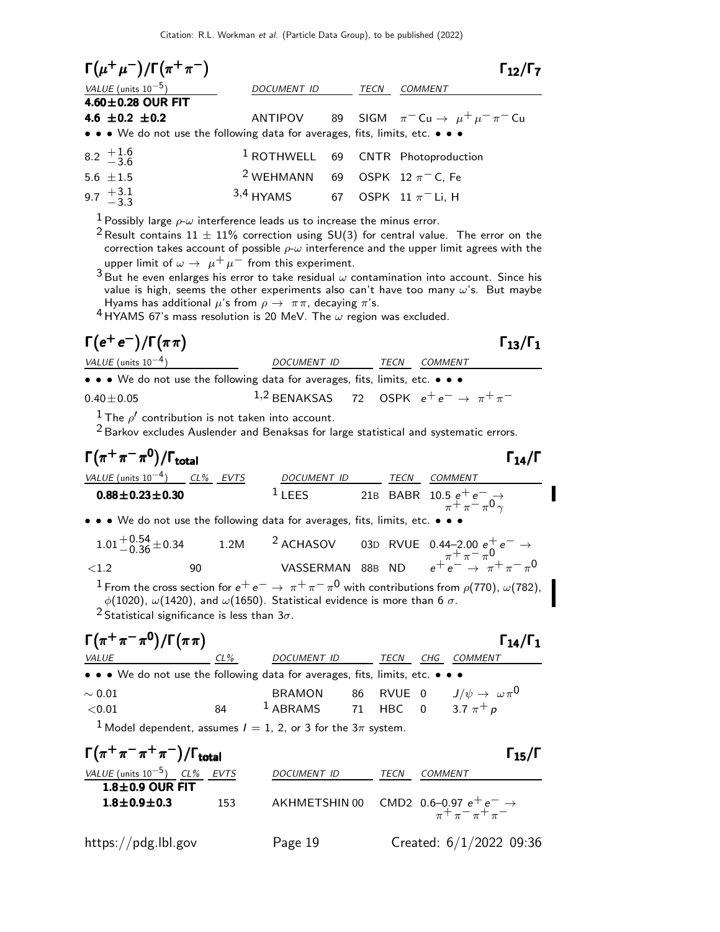Citation: R.L. Workman et al. (Particle Data Group), to be published (2022)

| $\Gamma(\mu^+\mu^-)/\Gamma(\pi^+\pi^-)$                                       |                                                          |      | $\Gamma_{12}/\Gamma_7$                                        |  |
|-------------------------------------------------------------------------------|----------------------------------------------------------|------|---------------------------------------------------------------|--|
| VALUE (units $10^{-5}$ )                                                      | <i>DOCUMENT ID</i>                                       | TECN | <b>COMMENT</b>                                                |  |
| $4.60 \pm 0.28$ OUR FIT                                                       |                                                          |      |                                                               |  |
| 4.6 $\pm 0.2$ $\pm 0.2$                                                       |                                                          |      | ANTIPOV 89 SIGM $\pi^-$ Cu $\rightarrow \mu^+ \mu^- \pi^-$ Cu |  |
| • • • We do not use the following data for averages, fits, limits, etc. • • • |                                                          |      |                                                               |  |
| $8.2 \frac{+1.6}{-3.6}$                                                       |                                                          |      | <sup>1</sup> ROTHWELL 69 CNTR Photoproduction                 |  |
| $5.6 \pm 1.5$                                                                 | <sup>2</sup> WEHMANN 69 OSPK 12 $\pi$ <sup>-</sup> C, Fe |      |                                                               |  |
| 9.7 $\frac{+3.1}{-3.3}$                                                       | 3,4 HYAMS 67 OSPK 11 $\pi$ <sup>-</sup> Li, H            |      |                                                               |  |

<sup>1</sup> Possibly large  $\rho$ - $\omega$  interference leads us to increase the minus error.

- <sup>2</sup> Result contains  $11 \pm 11$ % correction using SU(3) for central value. The error on the correction takes account of possible  $\rho$ - $\omega$  interference and the upper limit agrees with the upper limit of  $\omega \to \mu^+ \mu^-$  from this experiment.
- $3$  But he even enlarges his error to take residual  $\omega$  contamination into account. Since his value is high, seems the other experiments also can't have too many  $\omega$ 's. But maybe Hyams has additional  $\mu$ 's from  $\rho \to \pi \pi$ , decaying  $\pi$ 's.

<sup>4</sup> HYAMS 67's mass resolution is 20 MeV. The  $\omega$  region was excluded.

# $\Gamma(e^+e^-)/\Gamma(\pi\pi)$   $\Gamma_{13}/\Gamma_1$

 $VALU E$  (units 10<sup>-4</sup>) DOCUMENT ID TECN COMMENT • • • We do not use the following data for averages, fits, limits, etc. •  $1.2$  BENAKSAS 72 OSPK  $e^+e^-$ 

 $0.40\pm0.05$  1,2 BENAKSAS 72 OSPK  $e^+e^- \rightarrow \pi^+\pi^-$ 

 $\frac{1}{\epsilon}$  The  $\rho'$  contribution is not taken into account.

2 Barkov excludes Auslender and Benaksas for large statistical and systematic errors.

Γ π <sup>+</sup> π − π 0 Γ /Γtotal Γ14/Γ π <sup>+</sup> π − π 0 Γ /ΓtotalΓ14/Γ <sup>+</sup> π<sup>−</sup> <sup>0</sup> Γ /Γtotal Γ14/Γ <sup>+</sup> π<sup>−</sup> <sup>0</sup> /ΓtotalΓ14/Γ VALUE (units 10−4 ) CL% EVTS DOCUMENT ID TECN COMMENT <sup>0</sup>.88±0.23±0.<sup>30</sup> <sup>1</sup> LEES 21<sup>B</sup> BABR 10.5 <sup>e</sup><sup>+</sup> <sup>e</sup><sup>−</sup> <sup>→</sup> π+ π− π 0 γ • • • We do not use the following data for averages, fits, limits, etc. • • • <sup>1</sup>.01+0.<sup>54</sup> <sup>−</sup>0.<sup>36</sup> <sup>±</sup>0.34 1.2M <sup>2</sup> ACHASOV 03<sup>D</sup> RVUE 0.44–2.<sup>00</sup> <sup>e</sup><sup>+</sup> <sup>e</sup><sup>−</sup> <sup>→</sup> π+ π− π 0 <sup>&</sup>lt;1.2 90 VASSERMAN 88<sup>B</sup> ND <sup>e</sup><sup>+</sup> <sup>e</sup><sup>−</sup> <sup>→</sup> <sup>π</sup><sup>+</sup> <sup>π</sup><sup>−</sup> <sup>π</sup> 0 <sup>1</sup> From the cross section for <sup>e</sup><sup>+</sup> <sup>e</sup><sup>−</sup> <sup>→</sup> <sup>π</sup><sup>+</sup> <sup>π</sup><sup>−</sup> <sup>π</sup> 0 with contributions from ρ(770), ω(782), φ(1020), ω(1420), and ω(1650). Statistical evidence is more than 6 σ. 2 Statistical significance is less than 3σ. Γ π <sup>+</sup> π − π 0 /Γ π π Γ Γ14/Γ<sup>1</sup> +− 0 /Γ Γ Γ14/Γ1 <sup>+</sup> π<sup>−</sup> <sup>0</sup> /Γ π Γ Γ14/Γ +−0 /Γ Γ14/ΓVALUE CL% DOCUMENT ID TECN CHG COMMENT • • • We do not use the following data for averages, fits, limits, etc. • • • <sup>∼</sup> <sup>0</sup>.01 BRAMON 86 RVUE 0 <sup>J</sup>/ψ <sup>→</sup> ω π<sup>0</sup> <0.01 84 1 ABRAMS 71 HBC 0 3.7 π+ p 1 Model dependent, assumes I = 1, 2, or 3 for the 3π system. Γ π <sup>+</sup> π − π <sup>+</sup> π − /Γtotal Γ15/Γ + − + − Γ total <sup>15</sup> <sup>+</sup> π<sup>−</sup> <sup>+</sup> <sup>−</sup> /Γtotal Γ15/Γ + − + − total 15 VALUE (units 10−5) CL% EVTS DOCUMENT ID TECN COMMENT

| $1.8 \pm 0.9$ OUR FIT |     |                                                                                     |
|-----------------------|-----|-------------------------------------------------------------------------------------|
| $1.8 \pm 0.9 \pm 0.3$ | 153 | AKHMETSHIN 00 CMD2 0.6-0.97 $e^+e^- \rightarrow$<br>$\pi$ + $\pi$ - $\pi$ + $\pi$ - |

https://pdg.lbl.gov Page 19 Created: 6/1/2022 09:36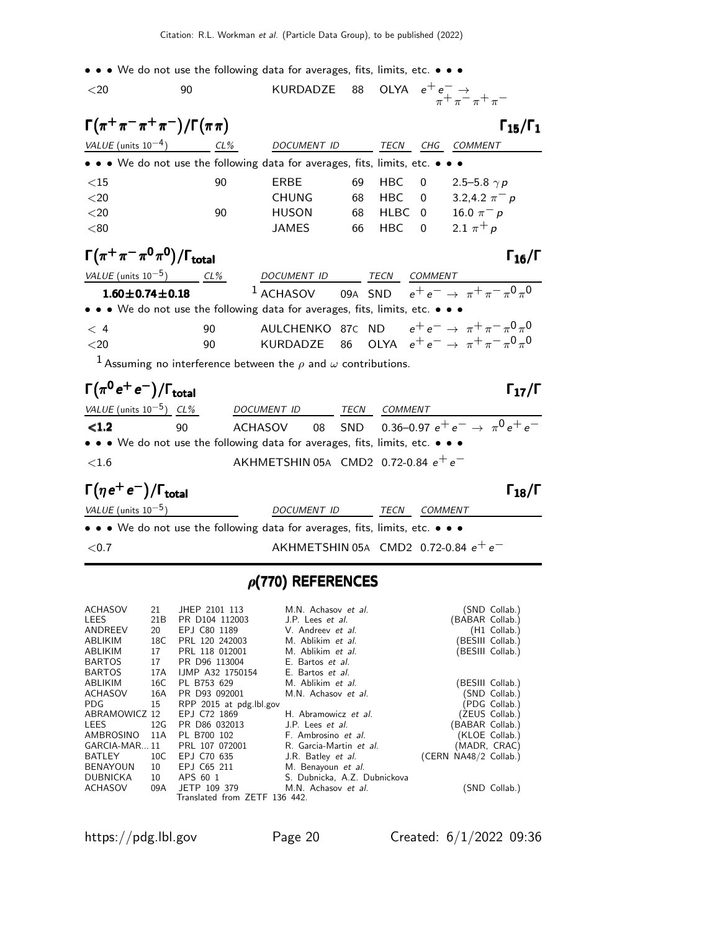• • • We do not use the following data for averages, fits, limits, etc. • • •

| $<$ 20                                                                                                                | 90     | KURDADZE 88                                                                          |    |             |                | OLYA $e^+e^- \rightarrow \pi^+ \pi^- \pi^+ \pi^-$                      |
|-----------------------------------------------------------------------------------------------------------------------|--------|--------------------------------------------------------------------------------------|----|-------------|----------------|------------------------------------------------------------------------|
| $\Gamma(\pi^+\pi^-\pi^+\pi^-)/\Gamma(\pi\pi)$                                                                         |        |                                                                                      |    |             |                | $\Gamma_{15}/\Gamma_1$                                                 |
| VALUE (units $10^{-4}$ )                                                                                              | $CL\%$ | DOCUMENT ID                                                                          |    | <b>TECN</b> | CHG            | <b>COMMENT</b>                                                         |
| $\bullet \bullet \bullet$ We do not use the following data for averages, fits, limits, etc. $\bullet \bullet \bullet$ |        |                                                                                      |    |             |                |                                                                        |
| ${<}15$                                                                                                               | 90     | ERBE                                                                                 | 69 | <b>HBC</b>  | 0              | 2.5–5.8 $\gamma p$                                                     |
| $<$ 20                                                                                                                |        | <b>CHUNG</b>                                                                         | 68 | HBC.        | 0              | 3.2,4.2 $\pi^- p$                                                      |
| $<$ 20                                                                                                                | 90     | <b>HUSON</b>                                                                         | 68 | <b>HLBC</b> | $\Omega$       | 16.0 $\pi^- p$                                                         |
| < 80                                                                                                                  |        | <b>JAMES</b>                                                                         | 66 | <b>HBC</b>  | $\Omega$       | 2.1 $\pi^{+} p$                                                        |
| $\Gamma(\pi^+\pi^-\pi^0\pi^0)/\Gamma_{\rm total}$                                                                     |        |                                                                                      |    |             |                | $\Gamma_{16}/\Gamma$                                                   |
| VALUE (units $10^{-5}$ )                                                                                              | $CL\%$ | DOCUMENT ID TECN                                                                     |    |             | <b>COMMENT</b> |                                                                        |
| $1.60 \pm 0.74 \pm 0.18$                                                                                              |        |                                                                                      |    |             |                | <sup>1</sup> ACHASOV 09A SND $e^+e^- \rightarrow \pi^+\pi^-\pi^0\pi^0$ |
| • • • We do not use the following data for averages, fits, limits, etc. • • •                                         |        |                                                                                      |    |             |                |                                                                        |
| < 4                                                                                                                   | 90     |                                                                                      |    |             |                | AULCHENKO 87C ND $e^+e^- \rightarrow \pi^+\pi^-\pi^0\pi^0$             |
| $<$ 20                                                                                                                | 90     | <b>KURDADZE</b>                                                                      |    |             |                | 86 OLYA $e^+e^- \to \pi^+\pi^-\pi^0\pi^0$                              |
|                                                                                                                       |        | <sup>1</sup> Assuming no interference between the $\rho$ and $\omega$ contributions. |    |             |                |                                                                        |

|    |                                                                            |             | $\Gamma_{17}/\Gamma$                                                                                                    |
|----|----------------------------------------------------------------------------|-------------|-------------------------------------------------------------------------------------------------------------------------|
|    |                                                                            | TECN        | COMMENT                                                                                                                 |
| 90 |                                                                            |             | ACHASOV 08 SND 0.36-0.97 $e^+e^- \rightarrow \pi^0 e^+e^-$                                                              |
|    |                                                                            |             |                                                                                                                         |
|    |                                                                            |             |                                                                                                                         |
|    | $\Gamma(\pi^0 e^+ e^-)/\Gamma_{\rm total}$<br>VALUE (units $10^{-5}$ ) CL% | DOCUMENT ID | • • • We do not use the following data for averages, fits, limits, etc. • • •<br>AKHMETSHIN 05A CMD2 0.72-0.84 $e^+e^-$ |

#### $\Gamma(\eta e^+e^-)/\Gamma_{\rm total}$  Γ<sub>18</sub>/Γ /Γ $_{\rm total}$ Γ $_{18}$ /Γ

| VALUE (units $10^{-5}$ )                                                                                                      | DOCUMENT ID                            | <i>TECN COMMENT</i> |  |
|-------------------------------------------------------------------------------------------------------------------------------|----------------------------------------|---------------------|--|
| $\bullet$ $\bullet$ $\bullet$ We do not use the following data for averages, fits, limits, etc. $\bullet$ $\bullet$ $\bullet$ |                                        |                     |  |
| <0.7                                                                                                                          | AKHMETSHIN 05A CMD2 0.72-0.84 $e^+e^-$ |                     |  |

# $\rho$ (770) REFERENCES

| ACHASOV         | 21              | JHEP 2101 113                 | M.N. Achasov et al.          |                       | (SND Collab.)    |
|-----------------|-----------------|-------------------------------|------------------------------|-----------------------|------------------|
| LEES            | 21 <sub>B</sub> | PR D104 112003                | J.P. Lees et al.             | (BABAR Collab.)       |                  |
| ANDREEV         | 20              | EPJ C80 1189                  | V. Andreev et al.            |                       | (H1 Collab.)     |
| ABLIKIM         | 18C             | PRL 120 242003                | M. Ablikim et al.            |                       | (BESIII Collab.) |
| ABLIKIM         | 17              | PRL 118 012001                | M. Ablikim et al.            |                       | (BESIII Collab.) |
| <b>BARTOS</b>   | 17              | PR D96 113004                 | E. Bartos et al.             |                       |                  |
| <b>BARTOS</b>   | 17A             | <b>IJMP A32 1750154</b>       | E. Bartos et al.             |                       |                  |
| ABLIKIM         | 16C             | PL B753 629                   | M. Ablikim et al.            |                       | (BESIII Collab.) |
| ACHASOV         | 16A             | PR D93 092001                 | M.N. Achasov et al.          |                       | (SND Collab.)    |
| PDG.            | 15              | RPP 2015 at pdg.lbl.gov       |                              |                       | (PDG Collab.)    |
| ABRAMOWICZ 12   |                 | EPJ C72 1869                  | H. Abramowicz et al.         |                       | (ZEUS Collab.)   |
| LEES            | 12G             | PR D86 032013                 | J.P. Lees <i>et al.</i>      | (BABAR Collab.)       |                  |
| AMBROSINO       | 11A             | PL B700 102                   | F. Ambrosino et al.          |                       | (KLOE Collab.)   |
| GARCIA-MAR11    |                 | PRL 107 072001                | R. Garcia-Martin et al.      |                       | (MADR, CRAC)     |
| BATLEY          | 10C             | EPJ C70 635                   | J.R. Batley <i>et al.</i>    | (CERN NA48/2 Collab.) |                  |
| <b>BENAYOUN</b> | 10              | EPJ C65 211                   | M. Benayoun et al.           |                       |                  |
| DUBNICKA        | 10              | APS 60 1                      | S. Dubnicka, A.Z. Dubnickova |                       |                  |
| <b>ACHASOV</b>  | 09A             | JETP 109 379                  | M.N. Achasov et al.          |                       | (SND Collab.)    |
|                 |                 | Translated from ZETF 136 442. |                              |                       |                  |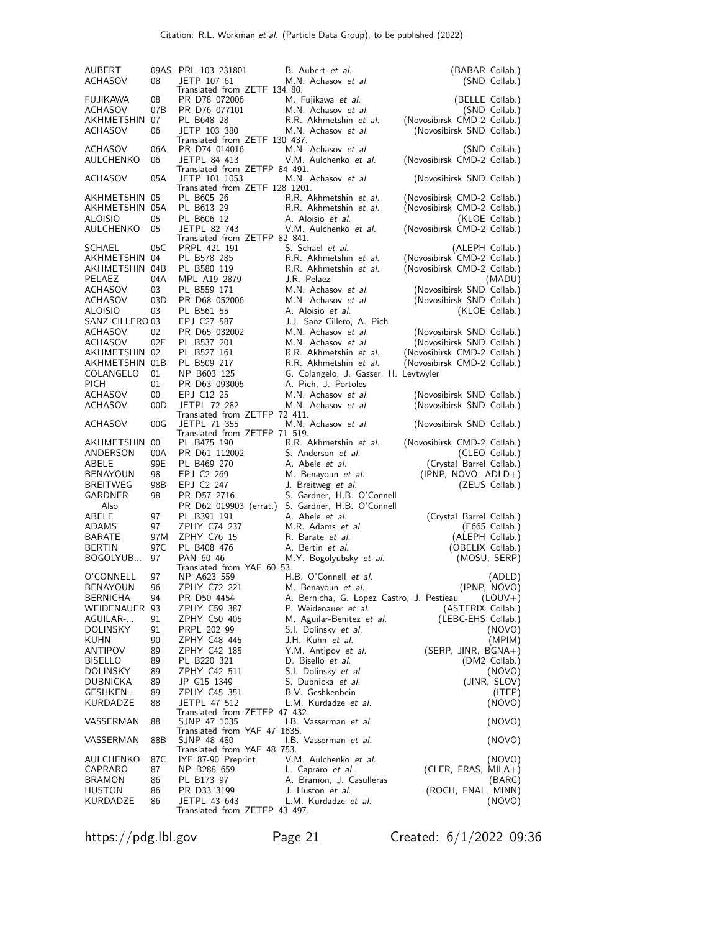| AUBERT<br>ACHASOV                | 08        | 09AS PRL 103 231801<br>JETP 107 61                   | B. Aubert et al.<br>M.N. Achasov et al.                           | (BABAR Collab.)                     |
|----------------------------------|-----------|------------------------------------------------------|-------------------------------------------------------------------|-------------------------------------|
|                                  |           | Translated from ZETF 134 80.                         |                                                                   | (SND Collab.)                       |
| <b>FUJIKAWA</b>                  | 08        | PR D78 072006                                        | M. Fujikawa et al.                                                | (BELLE Collab.)                     |
| ACHASOV                          | 07B       | PR D76 077101                                        | M.N. Achasov et al.                                               | (SND Collab.)                       |
| AKHMETSHIN 07                    |           | PL B648 28                                           | R.R. Akhmetshin et al.                                            | (Novosibirsk CMD-2 Collab.)         |
| <b>ACHASOV</b>                   | 06        | JETP 103 380<br>Translated from ZETF 130 437.        | M.N. Achasov et al.                                               | (Novosibirsk SND Collab.)           |
| ACHASOV                          | 06A       | PR D74 014016                                        | M.N. Achasov et al.                                               | (SND Collab.)                       |
| AULCHENKO                        | 06        | JETPL 84 413                                         | V.M. Aulchenko et al.                                             | (Novosibirsk CMD-2 Collab.)         |
|                                  |           | Translated from ZETFP 84 491.                        |                                                                   |                                     |
| ACHASOV                          | 05A       | JETP 101 1053                                        | M.N. Achasov et al.                                               | (Novosibirsk SND Collab.)           |
| AKHMETSHIN 05                    |           | Translated from ZETF 128 1201.<br>PL B605 26         | R.R. Akhmetshin et al.                                            | (Novosibirsk CMD-2 Collab.)         |
| AKHMETSHIN 05A                   |           | PL B613 29                                           | R.R. Akhmetshin et al.                                            | (Novosibirsk CMD-2 Collab.)         |
| <b>ALOISIO</b>                   | 05        | PL B606 12                                           | A. Aloisio et al.                                                 | (KLOE Collab.)                      |
| AULCHENKO                        | 05        | JETPL 82 743                                         | V.M. Aulchenko et al.                                             | (Novosibirsk CMD-2 Collab.)         |
|                                  |           | Translated from ZETFP 82 841.                        |                                                                   |                                     |
| SCHAEL                           | 05C       | PRPL 421 191                                         | S. Schael et al.                                                  | (ALEPH Collab.)                     |
| AKHMETSHIN                       | 04        | PL B578 285                                          | R.R. Akhmetshin et al.                                            | (Novosibirsk CMD-2 Collab.)         |
| AKHMETSHIN 04B                   |           | PL B580 119                                          | R.R. Akhmetshin et al.<br>J.R. Pelaez                             | (Novosibirsk CMD-2 Collab.)         |
| PELAEZ<br>ACHASOV                | 04A<br>03 | MPL A19 2879<br>PL B559 171                          | M.N. Achasov et al.                                               | (MADU)<br>(Novosibirsk SND Collab.) |
| ACHASOV                          | 03D       | PR D68 052006                                        | M.N. Achasov et al.                                               | (Novosibirsk SND Collab.)           |
| ALOISIO                          | 03        | PL B561 55                                           | A. Aloisio et al.                                                 | (KLOE Collab.)                      |
| SANZ-CILLERO 03                  |           | EPJ C27 587                                          | J.J. Sanz-Cillero, A. Pich                                        |                                     |
| ACHASOV                          | 02        | PR D65 032002                                        | M.N. Achasov et al.                                               | (Novosibirsk SND Collab.)           |
| <b>ACHASOV</b>                   | 02F       | PL B537 201                                          | M.N. Achasov et al.                                               | (Novosibirsk SND Collab.)           |
| AKHMETSHIN 02                    |           | PL B527 161                                          | R.R. Akhmetshin et al.                                            | (Novosibirsk CMD-2 Collab.)         |
| AKHMETSHIN 01B                   |           | PL B509 217                                          | R.R. Akhmetshin et al.                                            | (Novosibirsk CMD-2 Collab.)         |
| COLANGELO                        | 01        | NP B603 125                                          | G. Colangelo, J. Gasser, H. Leytwyler                             |                                     |
| <b>PICH</b>                      | 01        | PR D63 093005                                        | A. Pich, J. Portoles                                              |                                     |
| <b>ACHASOV</b><br><b>ACHASOV</b> | 00<br>00D | EPJ C12 25<br><b>JETPL 72 282</b>                    | M.N. Achasov et al.<br>M.N. Achasov et al.                        | (Novosibirsk SND Collab.)           |
|                                  |           | Translated from ZETFP 72 411.                        |                                                                   | (Novosibirsk SND Collab.)           |
| ACHASOV                          | 00G       | <b>JETPL 71 355</b><br>Translated from ZETFP 71 519. | M.N. Achasov et al.                                               | (Novosibirsk SND Collab.)           |
| AKHMETSHIN 00                    |           | PL B475 190                                          | R.R. Akhmetshin et al.                                            | (Novosibirsk CMD-2 Collab.)         |
| ANDERSON                         | 00A       | PR D61 112002                                        | S. Anderson et al.                                                | (CLEO Collab.)                      |
| ABELE                            | 99E       | PL B469 270                                          | A. Abele <i>et al.</i>                                            | (Crystal Barrel Collab.)            |
| <b>BENAYOUN</b>                  | 98        | EPJ C2 269                                           | M. Benayoun et al.                                                | (IPNP, NOVO, ADLD+)                 |
| <b>BREITWEG</b>                  | 98B       | EPJ C2 247                                           | J. Breitweg et al.                                                | (ZEUS Collab.)                      |
| GARDNER                          | 98        | PR D57 2716                                          | S. Gardner, H.B. O'Connell                                        |                                     |
| Also                             |           | PR D62 019903 (errat.)                               | S. Gardner, H.B. O'Connell                                        |                                     |
| ABELE<br>ADAMS                   | 97<br>97  | PL B391 191<br>ZPHY C74 237                          | A. Abele et al.<br>M.R. Adams et al.                              | (Crystal Barrel Collab.)            |
| BARATE                           | 97M       | <b>ZPHY C76 15</b>                                   | R. Barate et al.                                                  | (E665 Collab.)<br>(ALEPH Collab.)   |
| <b>BERTIN</b>                    | 97 C      | PL B408 476                                          | A. Bertin et al.                                                  | (OBELIX Collab.)                    |
| BOGOLYUB                         | 97        | PAN 60 46                                            | M.Y. Bogolyubsky et al.                                           | (MOSU, SERP)                        |
|                                  |           | Translated from YAF 60 53.                           |                                                                   |                                     |
| O'CONNELL                        | 97        | NP A623 559                                          | H.B. O'Connell et al.                                             | (ADLD)                              |
| <b>BENAYOUN</b>                  | 96        | ZPHY C72 221                                         | M. Benayoun <i>et al.</i>                                         | (IPNP, NOVO)                        |
| <b>BERNICHA</b>                  | 94        | PR D50 4454<br>ZPHY C59 387                          | A. Bernicha, G. Lopez Castro, J. Pestieau<br>P. Weidenauer et al. | $(LOUV+)$<br>(ASTERIX Collab.)      |
| WEIDENAUER 93<br>AGUILAR-        | 91        | ZPHY C50 405                                         | M. Aguilar-Benitez et al.                                         | (LEBC-EHS Collab.)                  |
| <b>DOLINSKY</b>                  | 91        | PRPL 202 99                                          | S.I. Dolinsky et al.                                              | (NOVO)                              |
| KUHN                             | 90        | ZPHY C48 445                                         | J.H. Kuhn et al.                                                  | (MPIM)                              |
| ANTIPOV                          | 89        | ZPHY C42 185                                         | Y.M. Antipov et al.                                               | $(SERP, JINR, BGNA+)$               |
| <b>BISELLO</b>                   | 89        | PL B220 321                                          | D. Bisello et al.                                                 | (DM2 Collab.)                       |
| <b>DOLINSKY</b>                  | 89        | ZPHY C42 511                                         | S.I. Dolinsky et al.                                              | (NOVO)                              |
| <b>DUBNICKA</b>                  | 89        | JP G15 1349                                          | S. Dubnicka et al.                                                | (JINR, SLOV)                        |
| GESHKEN                          | 89        | ZPHY C45 351                                         | B.V. Geshkenbein                                                  | (ITEP)                              |
| KURDADZE                         | 88        | JETPL 47 512<br>Translated from ZETFP 47 432.        | L.M. Kurdadze et al.                                              | (NOVO)                              |
| VASSERMAN                        | 88        | SJNP 47 1035                                         | I.B. Vasserman et al.                                             | (NOVO)                              |
|                                  |           | Translated from YAF 47 1635.                         |                                                                   |                                     |
| VASSERMAN                        | 88B       | SJNP 48 480<br>Translated from YAF 48 753.           | I.B. Vasserman et al.                                             | (NOVO)                              |
| AULCHENKO                        | 87C       | IYF 87-90 Preprint                                   | V.M. Aulchenko et al.                                             | (NOVO)                              |
| CAPRARO                          | 87        | NP B288 659                                          | L. Capraro et al.                                                 | $(CLER, FRAS, MILA+)$               |
| <b>BRAMON</b>                    | 86        | PL B173 97                                           | A. Bramon, J. Casulleras                                          | (BARC)                              |
| <b>HUSTON</b>                    | 86        | PR D33 3199                                          | J. Huston et al.                                                  | (ROCH, FNAL, MINN)                  |
| KURDADZE                         | 86        | JETPL 43 643<br>Translated from ZETFP 43 497.        | L.M. Kurdadze et al.                                              | (NOVO)                              |
|                                  |           |                                                      |                                                                   |                                     |

https://pdg.lbl.gov Page 21 Created: 6/1/2022 09:36